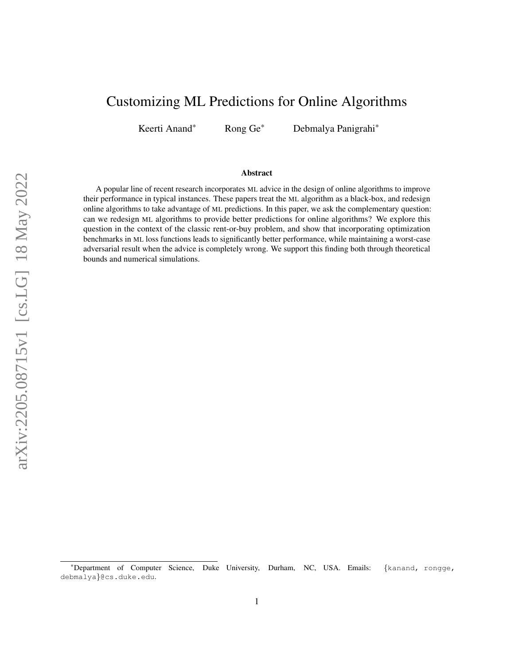# Customizing ML Predictions for Online Algorithms

Keerti Anand\* Rong Ge\* Debmalya Panigrahi\*

#### Abstract

A popular line of recent research incorporates ML advice in the design of online algorithms to improve their performance in typical instances. These papers treat the ML algorithm as a black-box, and redesign online algorithms to take advantage of ML predictions. In this paper, we ask the complementary question: can we redesign ML algorithms to provide better predictions for online algorithms? We explore this question in the context of the classic rent-or-buy problem, and show that incorporating optimization benchmarks in ML loss functions leads to significantly better performance, while maintaining a worst-case adversarial result when the advice is completely wrong. We support this finding both through theoretical bounds and numerical simulations.

<sup>\*</sup>Department of Computer Science, Duke University, Durham, NC, USA. Emails: {kanand, rongge, debmalya}@cs.duke.edu.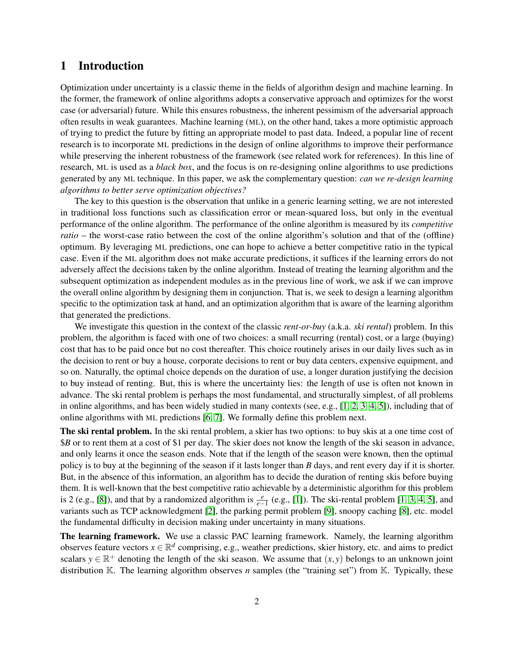### 1 Introduction

Optimization under uncertainty is a classic theme in the fields of algorithm design and machine learning. In the former, the framework of online algorithms adopts a conservative approach and optimizes for the worst case (or adversarial) future. While this ensures robustness, the inherent pessimism of the adversarial approach often results in weak guarantees. Machine learning (ML), on the other hand, takes a more optimistic approach of trying to predict the future by fitting an appropriate model to past data. Indeed, a popular line of recent research is to incorporate ML predictions in the design of online algorithms to improve their performance while preserving the inherent robustness of the framework (see related work for references). In this line of research, ML is used as a *black box*, and the focus is on re-designing online algorithms to use predictions generated by any ML technique. In this paper, we ask the complementary question: *can we re-design learning algorithms to better serve optimization objectives?*

The key to this question is the observation that unlike in a generic learning setting, we are not interested in traditional loss functions such as classification error or mean-squared loss, but only in the eventual performance of the online algorithm. The performance of the online algorithm is measured by its *competitive ratio* – the worst-case ratio between the cost of the online algorithm's solution and that of the (offline) optimum. By leveraging ML predictions, one can hope to achieve a better competitive ratio in the typical case. Even if the ML algorithm does not make accurate predictions, it suffices if the learning errors do not adversely affect the decisions taken by the online algorithm. Instead of treating the learning algorithm and the subsequent optimization as independent modules as in the previous line of work, we ask if we can improve the overall online algorithm by designing them in conjunction. That is, we seek to design a learning algorithm specific to the optimization task at hand, and an optimization algorithm that is aware of the learning algorithm that generated the predictions.

We investigate this question in the context of the classic *rent-or-buy* (a.k.a. *ski rental*) problem. In this problem, the algorithm is faced with one of two choices: a small recurring (rental) cost, or a large (buying) cost that has to be paid once but no cost thereafter. This choice routinely arises in our daily lives such as in the decision to rent or buy a house, corporate decisions to rent or buy data centers, expensive equipment, and so on. Naturally, the optimal choice depends on the duration of use, a longer duration justifying the decision to buy instead of renting. But, this is where the uncertainty lies: the length of use is often not known in advance. The ski rental problem is perhaps the most fundamental, and structurally simplest, of all problems in online algorithms, and has been widely studied in many contexts (see, e.g., [\[1,](#page-23-0) [2,](#page-23-1) [3,](#page-24-0) [4,](#page-24-1) [5\]](#page-24-2)), including that of online algorithms with ML predictions [\[6,](#page-24-3) [7\]](#page-24-4). We formally define this problem next.

The ski rental problem. In the ski rental problem, a skier has two options: to buy skis at a one time cost of \$*B* or to rent them at a cost of \$1 per day. The skier does not know the length of the ski season in advance, and only learns it once the season ends. Note that if the length of the season were known, then the optimal policy is to buy at the beginning of the season if it lasts longer than *B* days, and rent every day if it is shorter. But, in the absence of this information, an algorithm has to decide the duration of renting skis before buying them. It is well-known that the best competitive ratio achievable by a deterministic algorithm for this problem is 2 (e.g., [\[8\]](#page-24-5)), and that by a randomized algorithm is  $\frac{e}{e-1}$  (e.g., [\[1\]](#page-23-0)). The ski-rental problem [\[1,](#page-23-0) [3,](#page-24-0) [4,](#page-24-1) [5\]](#page-24-2), and variants such as TCP acknowledgment [\[2\]](#page-23-1), the parking permit problem [\[9\]](#page-24-6), snoopy caching [\[8\]](#page-24-5), etc. model the fundamental difficulty in decision making under uncertainty in many situations.

The learning framework. We use a classic PAC learning framework. Namely, the learning algorithm observes feature vectors  $x \in \mathbb{R}^d$  comprising, e.g., weather predictions, skier history, etc. and aims to predict scalars  $y \in \mathbb{R}^+$  denoting the length of the ski season. We assume that  $(x, y)$  belongs to an unknown joint distribution K. The learning algorithm observes *n* samples (the "training set") from K. Typically, these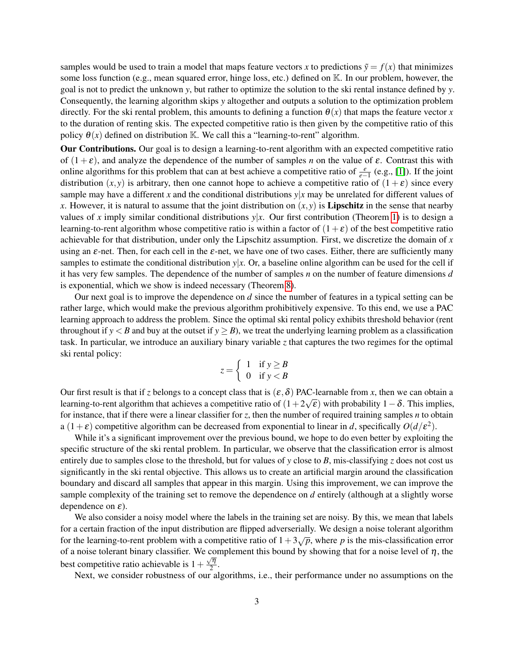samples would be used to train a model that maps feature vectors *x* to predictions  $\tilde{y} = f(x)$  that minimizes some loss function (e.g., mean squared error, hinge loss, etc.) defined on  $\mathbb{K}$ . In our problem, however, the goal is not to predict the unknown *y*, but rather to optimize the solution to the ski rental instance defined by *y*. Consequently, the learning algorithm skips *y* altogether and outputs a solution to the optimization problem directly. For the ski rental problem, this amounts to defining a function  $\theta(x)$  that maps the feature vector *x* to the duration of renting skis. The expected competitive ratio is then given by the competitive ratio of this policy  $\theta(x)$  defined on distribution K. We call this a "learning-to-rent" algorithm.

Our Contributions. Our goal is to design a learning-to-rent algorithm with an expected competitive ratio of  $(1+\varepsilon)$ , and analyze the dependence of the number of samples *n* on the value of  $\varepsilon$ . Contrast this with online algorithms for this problem that can at best achieve a competitive ratio of  $\frac{e}{e-1}$  (e.g., [\[1\]](#page-23-0)). If the joint distribution  $(x, y)$  is arbitrary, then one cannot hope to achieve a competitive ratio of  $(1 + \varepsilon)$  since every sample may have a different *x* and the conditional distributions  $y|x|$  may be unrelated for different values of *x*. However, it is natural to assume that the joint distribution on  $(x, y)$  is **Lipschitz** in the sense that nearby values of x imply similar conditional distributions  $y|x$ . Our first contribution (Theorem [1\)](#page-4-0) is to design a learning-to-rent algorithm whose competitive ratio is within a factor of  $(1+\varepsilon)$  of the best competitive ratio achievable for that distribution, under only the Lipschitz assumption. First, we discretize the domain of *x* using an  $\varepsilon$ -net. Then, for each cell in the  $\varepsilon$ -net, we have one of two cases. Either, there are sufficiently many samples to estimate the conditional distribution  $y|x$ . Or, a baseline online algorithm can be used for the cell if it has very few samples. The dependence of the number of samples *n* on the number of feature dimensions *d* is exponential, which we show is indeed necessary (Theorem [8\)](#page-11-0).

Our next goal is to improve the dependence on *d* since the number of features in a typical setting can be rather large, which would make the previous algorithm prohibitively expensive. To this end, we use a PAC learning approach to address the problem. Since the optimal ski rental policy exhibits threshold behavior (rent throughout if  $y < B$  and buy at the outset if  $y \geq B$ ), we treat the underlying learning problem as a classification task. In particular, we introduce an auxiliary binary variable *z* that captures the two regimes for the optimal ski rental policy:

$$
z = \left\{ \begin{array}{ll} 1 & \text{if } y \ge B \\ 0 & \text{if } y < B \end{array} \right.
$$

Our first result is that if *z* belongs to a concept class that is  $(\varepsilon, \delta)$  PAC-learnable from *x*, then we can obtain a learning-to-rent algorithm that achieves a competitive ratio of  $(1+2\sqrt{\epsilon})$  with probability  $1-\delta$ . This implies, for instance, that if there were a linear classifier for *z*, then the number of required training samples *n* to obtain a  $(1+\varepsilon)$  competitive algorithm can be decreased from exponential to linear in *d*, specifically  $O(d/\varepsilon^2)$ .

While it's a significant improvement over the previous bound, we hope to do even better by exploiting the specific structure of the ski rental problem. In particular, we observe that the classification error is almost entirely due to samples close to the threshold, but for values of *y* close to *B*, mis-classifying *z* does not cost us significantly in the ski rental objective. This allows us to create an artificial margin around the classification boundary and discard all samples that appear in this margin. Using this improvement, we can improve the sample complexity of the training set to remove the dependence on *d* entirely (although at a slightly worse dependence on  $\varepsilon$ ).

We also consider a noisy model where the labels in the training set are noisy. By this, we mean that labels for a certain fraction of the input distribution are flipped adverserially. We design a noise tolerant algorithm for the learning-to-rent problem with a competitive ratio of  $1+3\sqrt{p}$ , where *p* is the mis-classification error of a noise tolerant binary classifier. We complement this bound by showing that for a noise level of  $\eta$ , the best competitive ratio achievable is  $1 + \frac{\sqrt{\eta}}{2}$  $\frac{q}{2}$ .

Next, we consider robustness of our algorithms, i.e., their performance under no assumptions on the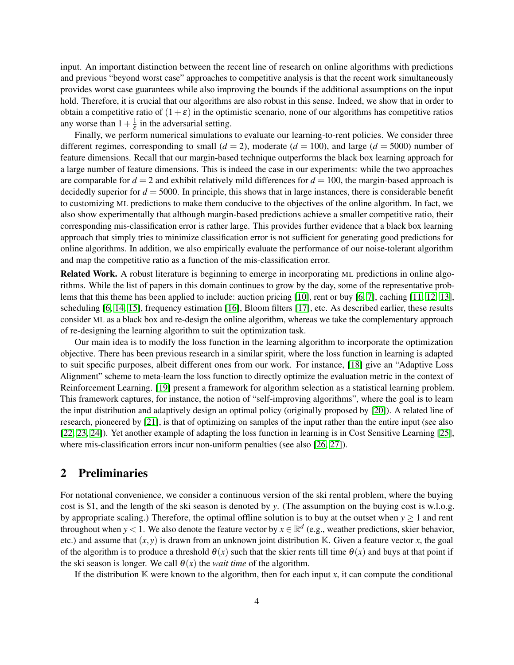input. An important distinction between the recent line of research on online algorithms with predictions and previous "beyond worst case" approaches to competitive analysis is that the recent work simultaneously provides worst case guarantees while also improving the bounds if the additional assumptions on the input hold. Therefore, it is crucial that our algorithms are also robust in this sense. Indeed, we show that in order to obtain a competitive ratio of  $(1+\varepsilon)$  in the optimistic scenario, none of our algorithms has competitive ratios any worse than  $1+\frac{1}{s}$  $\frac{1}{\varepsilon}$  in the adversarial setting.

Finally, we perform numerical simulations to evaluate our learning-to-rent policies. We consider three different regimes, corresponding to small  $(d = 2)$ , moderate  $(d = 100)$ , and large  $(d = 5000)$  number of feature dimensions. Recall that our margin-based technique outperforms the black box learning approach for a large number of feature dimensions. This is indeed the case in our experiments: while the two approaches are comparable for  $d = 2$  and exhibit relatively mild differences for  $d = 100$ , the margin-based approach is decidedly superior for  $d = 5000$ . In principle, this shows that in large instances, there is considerable benefit to customizing ML predictions to make them conducive to the objectives of the online algorithm. In fact, we also show experimentally that although margin-based predictions achieve a smaller competitive ratio, their corresponding mis-classification error is rather large. This provides further evidence that a black box learning approach that simply tries to minimize classification error is not sufficient for generating good predictions for online algorithms. In addition, we also empirically evaluate the performance of our noise-tolerant algorithm and map the competitive ratio as a function of the mis-classification error.

Related Work. A robust literature is beginning to emerge in incorporating ML predictions in online algorithms. While the list of papers in this domain continues to grow by the day, some of the representative problems that this theme has been applied to include: auction pricing [\[10\]](#page-24-7), rent or buy [\[6,](#page-24-3) [7\]](#page-24-4), caching [\[11,](#page-24-8) [12,](#page-24-9) [13\]](#page-24-10), scheduling [\[6,](#page-24-3) [14,](#page-24-11) [15\]](#page-24-12), frequency estimation [\[16\]](#page-24-13), Bloom filters [\[17\]](#page-25-0), etc. As described earlier, these results consider ML as a black box and re-design the online algorithm, whereas we take the complementary approach of re-designing the learning algorithm to suit the optimization task.

Our main idea is to modify the loss function in the learning algorithm to incorporate the optimization objective. There has been previous research in a similar spirit, where the loss function in learning is adapted to suit specific purposes, albeit different ones from our work. For instance, [\[18\]](#page-25-1) give an "Adaptive Loss Alignment" scheme to meta-learn the loss function to directly optimize the evaluation metric in the context of Reinforcement Learning. [\[19\]](#page-25-2) present a framework for algorithm selection as a statistical learning problem. This framework captures, for instance, the notion of "self-improving algorithms", where the goal is to learn the input distribution and adaptively design an optimal policy (originally proposed by [\[20\]](#page-25-3)). A related line of research, pioneered by [\[21\]](#page-25-4), is that of optimizing on samples of the input rather than the entire input (see also [\[22,](#page-25-5) [23,](#page-25-6) [24\]](#page-25-7)). Yet another example of adapting the loss function in learning is in Cost Sensitive Learning [\[25\]](#page-25-8), where mis-classification errors incur non-uniform penalties (see also [\[26,](#page-25-9) [27\]](#page-25-10)).

#### 2 Preliminaries

For notational convenience, we consider a continuous version of the ski rental problem, where the buying cost is \$1, and the length of the ski season is denoted by *y*. (The assumption on the buying cost is w.l.o.g. by appropriate scaling.) Therefore, the optimal offline solution is to buy at the outset when  $y \ge 1$  and rent throughout when *y* < 1. We also denote the feature vector by  $x \in \mathbb{R}^d$  (e.g., weather predictions, skier behavior, etc.) and assume that  $(x, y)$  is drawn from an unknown joint distribution K. Given a feature vector *x*, the goal of the algorithm is to produce a threshold  $\theta(x)$  such that the skier rents till time  $\theta(x)$  and buys at that point if the ski season is longer. We call  $\theta(x)$  the *wait time* of the algorithm.

If the distribution  $\mathbb K$  were known to the algorithm, then for each input *x*, it can compute the conditional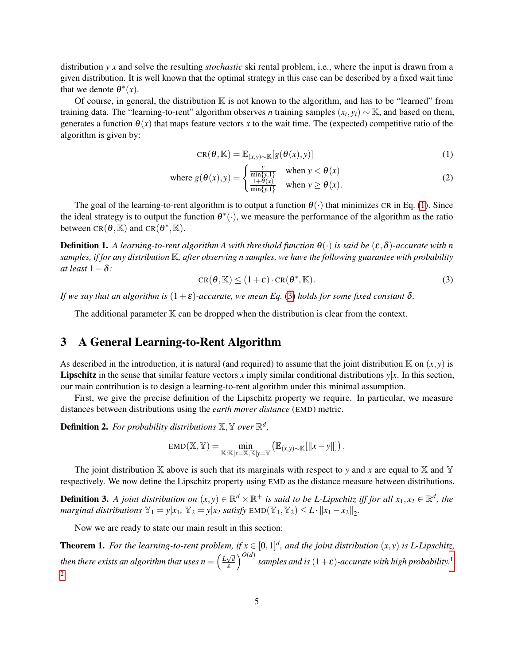distribution *y*|*x* and solve the resulting *stochastic* ski rental problem, i.e., where the input is drawn from a given distribution. It is well known that the optimal strategy in this case can be described by a fixed wait time that we denote  $\theta^*(x)$ .

Of course, in general, the distribution  $\mathbb K$  is not known to the algorithm, and has to be "learned" from training data. The "learning-to-rent" algorithm observes *n* training samples  $(x_i, y_i) \sim \mathbb{K}$ , and based on them, generates a function  $\theta(x)$  that maps feature vectors x to the wait time. The (expected) competitive ratio of the algorithm is given by:

<span id="page-4-1"></span>
$$
CR(\theta, \mathbb{K}) = \mathbb{E}_{(x, y) \sim \mathbb{K}}[g(\theta(x), y)] \tag{1}
$$

where 
$$
g(\theta(x), y) = \begin{cases} \frac{y}{\min\{y, 1\}} & \text{when } y < \theta(x) \\ \frac{1 + \theta(x)}{\min\{y, 1\}} & \text{when } y \ge \theta(x). \end{cases}
$$
 (2)

The goal of the learning-to-rent algorithm is to output a function  $\theta(\cdot)$  that minimizes CR in Eq. [\(1\)](#page-4-1). Since the ideal strategy is to output the function  $\theta^*(\cdot)$ , we measure the performance of the algorithm as the ratio between  $CR(\theta, \mathbb{K})$  and  $CR(\theta^*, \mathbb{K})$ .

<span id="page-4-2"></span>**Definition 1.** A learning-to-rent algorithm A with threshold function  $\theta(\cdot)$  is said be  $(\epsilon, \delta)$ -accurate with *n samples, if for any distribution* K*, after observing n samples, we have the following guarantee with probability at least* 1−δ*:*

$$
CR(\theta, \mathbb{K}) \le (1+\varepsilon) \cdot CR(\theta^*, \mathbb{K}).
$$
\n(3)

*If we say that an algorithm is*  $(1+\varepsilon)$ -accurate, we mean Eq. [\(3\)](#page-4-2) holds for some fixed constant  $\delta$ .

The additional parameter  $K$  can be dropped when the distribution is clear from the context.

#### 3 A General Learning-to-Rent Algorithm

As described in the introduction, it is natural (and required) to assume that the joint distribution  $K$  on  $(x, y)$  is **Lipschitz** in the sense that similar feature vectors x imply similar conditional distributions  $y|x$ . In this section, our main contribution is to design a learning-to-rent algorithm under this minimal assumption.

First, we give the precise definition of the Lipschitz property we require. In particular, we measure distances between distributions using the *earth mover distance* (EMD) metric.

**Definition 2.** For probability distributions  $\mathbb{X}, \mathbb{Y}$  over  $\mathbb{R}^d$ ,

$$
EMD(\mathbb{X}, \mathbb{Y}) = \min_{\mathbb{K}: \mathbb{K}|x = \mathbb{X}, \mathbb{K}|y = \mathbb{Y}} \left( \mathbb{E}_{(x,y) \sim \mathbb{K}}[\|x - y\|] \right).
$$

The joint distribution K above is such that its marginals with respect to *y* and *x* are equal to X and Y respectively. We now define the Lipschitz property using EMD as the distance measure between distributions.

<span id="page-4-3"></span>**Definition 3.** A joint distribution on  $(x, y) \in \mathbb{R}^d \times \mathbb{R}^+$  is said to be L-Lipschitz iff for all  $x_1, x_2 \in \mathbb{R}^d$ , the *marginal distributions*  $\mathbb{Y}_1 = y | x_1, \mathbb{Y}_2 = y | x_2 \text{ satisfy } \text{EMD}(\mathbb{Y}_1, \mathbb{Y}_2) \leq L \cdot ||x_1 - x_2||_2.$ 

Now we are ready to state our main result in this section:

<span id="page-4-0"></span>**Theorem 1.** For the learning-to-rent problem, if  $x \in [0,1]^d$ , and the joint distribution  $(x, y)$  is L-Lipschitz, *then there exists an algorithm that uses*  $n = \left(\frac{L\sqrt{d}}{s}\right)^{2}$ ε  $\int^{O(d)}$  samples and is  $(1+\varepsilon)$  $(1+\varepsilon)$  $(1+\varepsilon)$ -accurate with high probability.<sup>1</sup> [2](#page-5-1)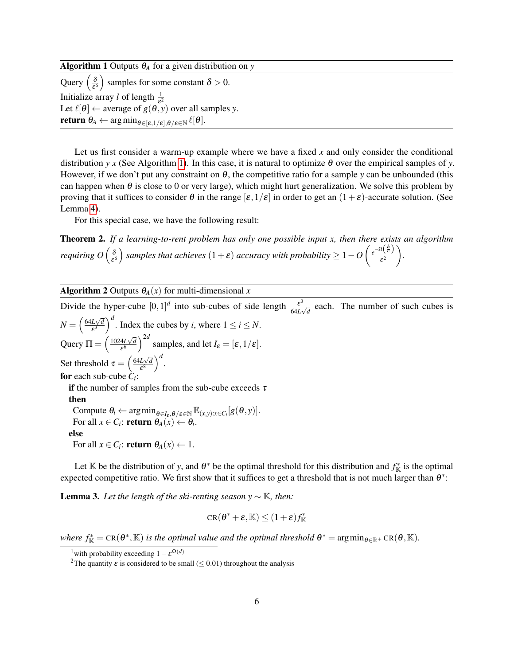<span id="page-5-2"></span>

| <b>Algorithm 1</b> Outputs $\theta_A$ for a given distribution on y                                                                      |
|------------------------------------------------------------------------------------------------------------------------------------------|
| Query $\left(\frac{\delta}{\epsilon^6}\right)$ samples for some constant $\delta > 0$ .                                                  |
| Initialize array l of length $\frac{1}{5^2}$                                                                                             |
| Let $\ell[\theta] \leftarrow$ average of $g(\theta, y)$ over all samples y.                                                              |
| <b>return</b> $\theta_A \leftarrow \arg \min_{\theta \in [\varepsilon, 1/\varepsilon], \theta/\varepsilon \in \mathbb{N}} \ell[\theta].$ |
|                                                                                                                                          |

Let us first consider a warm-up example where we have a fixed *x* and only consider the conditional distribution  $y|x$  (See Algorithm [1\)](#page-5-2). In this case, it is natural to optimize  $\theta$  over the empirical samples of y. However, if we don't put any constraint on θ, the competitive ratio for a sample *y* can be unbounded (this can happen when  $\theta$  is close to 0 or very large), which might hurt generalization. We solve this problem by proving that it suffices to consider  $\theta$  in the range  $[\varepsilon,1/\varepsilon]$  in order to get an  $(1+\varepsilon)$ -accurate solution. (See Lemma [4\)](#page-6-0).

For this special case, we have the following result:

<span id="page-5-4"></span>Theorem 2. *If a learning-to-rent problem has only one possible input x, then there exists an algorithm requiring O* ( $\frac{\delta}{c^6}$  $\frac{\delta}{\epsilon^6}$ ) samples that achieves  $(1+\epsilon)$  accuracy with probability  $\geq 1-O\left(\frac{e^{-\Omega\left(\tfrac{\delta}{\epsilon}\right)}}{\epsilon^2}\right)$  $\varepsilon^2$ *.*

Algorithm 2 Outputs  $\theta_A(x)$  for multi-dimensional *x* 

<span id="page-5-5"></span>Divide the hyper-cube  $[0,1]^d$  into sub-cubes of side length  $\frac{\varepsilon^3}{\varepsilon^4}$  $\frac{\varepsilon}{64L\sqrt{d}}$  each. The number of such cubes is  $N = \left(\frac{64L\sqrt{d}}{s^3}\right)$  $\left(\frac{L\sqrt{d}}{\varepsilon^3}\right)^d$ . Index the cubes by *i*, where  $1 \le i \le N$ . Query  $\Pi = \left(\frac{1024L\sqrt{d}}{56}\right)$  $\frac{4L\sqrt{d}}{\epsilon^6}$  amples, and let  $I_{\epsilon} = [\epsilon, 1/\epsilon]$ . Set threshold  $\tau = \left(\frac{64L\sqrt{d}}{58}\right)$  $\frac{L\sqrt{d}}{\varepsilon^8}\Big)^d.$ for each sub-cube *C<sup>i</sup>* : if the number of samples from the sub-cube exceeds  $\tau$ then Compute  $\theta_i \leftarrow \arg \min_{\theta \in I_{\varepsilon}, \theta / \varepsilon \in \mathbb{N}} \mathbb{E}_{(x, y): x \in C_i} [g(\theta, y)].$ For all  $x \in C_i$ : **return**  $\theta_A(x) \leftarrow \theta_i$ . else For all  $x \in C_i$ : **return**  $\theta_A(x) \leftarrow 1$ .

Let K be the distribution of *y*, and  $\theta^*$  be the optimal threshold for this distribution and  $f_K^*$  is the optimal expected competitive ratio. We first show that it suffices to get a threshold that is not much larger than  $\theta^*$ :

<span id="page-5-3"></span>**Lemma 3.** Let the length of the ski-renting season  $y \sim \mathbb{K}$ , then:

$$
CR(\boldsymbol{\theta}^* + \boldsymbol{\varepsilon}, \mathbb{K}) \le (1+\boldsymbol{\varepsilon})f^*_{\mathbb{K}}
$$

where  $f^*_{\mathbb{K}} = \text{CR}(\theta^*, \mathbb{K})$  *is the optimal value and the optimal threshold*  $\theta^* = \arg\min_{\theta \in \mathbb{R}^+} \text{CR}(\theta, \mathbb{K})$ *.* 

<span id="page-5-0"></span><sup>&</sup>lt;sup>1</sup>with probability exceeding  $1 - \varepsilon^{\Omega(d)}$ 

<span id="page-5-1"></span><sup>&</sup>lt;sup>2</sup>The quantity  $\varepsilon$  is considered to be small ( $\leq$  0.01) throughout the analysis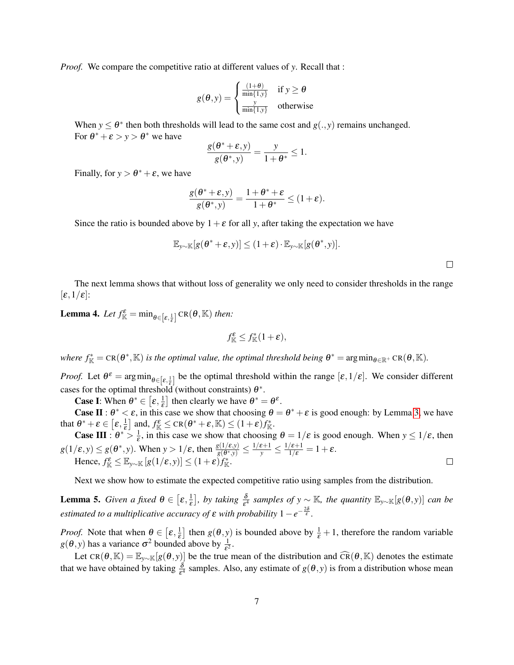*Proof.* We compare the competitive ratio at different values of *y*. Recall that :

$$
g(\theta, y) = \begin{cases} \frac{(1+\theta)}{\min\{1, y\}} & \text{if } y \ge \theta\\ \frac{y}{\min\{1, y\}} & \text{otherwise} \end{cases}
$$

When  $y \leq \theta^*$  then both thresholds will lead to the same cost and  $g(., y)$  remains unchanged. For  $\theta^* + \varepsilon > y > \theta^*$  we have

$$
\frac{g(\theta^*+\varepsilon,y)}{g(\theta^*,y)}=\frac{y}{1+\theta^*}\leq 1.
$$

Finally, for  $y > \theta^* + \varepsilon$ , we have

$$
\frac{g(\theta^*+\varepsilon,y)}{g(\theta^*,y)}=\frac{1+\theta^*+\varepsilon}{1+\theta^*}\leq (1+\varepsilon).
$$

Since the ratio is bounded above by  $1+\varepsilon$  for all *y*, after taking the expectation we have

$$
\mathbb{E}_{y\sim\mathbb{K}}[g(\theta^*+\varepsilon,y)] \leq (1+\varepsilon)\cdot\mathbb{E}_{y\sim\mathbb{K}}[g(\theta^*,y)].
$$

The next lemma shows that without loss of generality we only need to consider thresholds in the range  $[\varepsilon,1/\varepsilon]$ :

<span id="page-6-0"></span>**Lemma 4.** Let  $f_{\mathbb{K}}^{\varepsilon} = \min_{\theta \in [\varepsilon, \frac{1}{\varepsilon}]} CR(\theta, \mathbb{K})$  then:

$$
f^{\varepsilon}_{\mathbb K}\leq f^*_{\mathbb K}(1+{\varepsilon}),
$$

where  $f^*_{\mathbb{K}} = \text{CR}(\theta^*, \mathbb{K})$  *is the optimal value, the optimal threshold being*  $\theta^* = \arg\min_{\theta \in \mathbb{R}^+} \text{CR}(\theta, \mathbb{K})$ *.* 

*Proof.* Let  $\theta^{\varepsilon} = \arg \min_{\theta \in [\varepsilon, \frac{1}{\varepsilon}]}$  be the optimal threshold within the range  $[\varepsilon, 1/\varepsilon]$ . We consider different cases for the optimal threshold (without constraints)  $\theta^*$ .

**Case I**: When  $\theta^* \in [\varepsilon, \frac{1}{\varepsilon}]$  then clearly we have  $\theta^* = \theta^{\varepsilon}$ .

**Case II**:  $\theta^* < \varepsilon$ , in this case we show that choosing  $\theta = \theta^* + \varepsilon$  is good enough: by Lemma [3,](#page-5-3) we have that  $\theta^* + \varepsilon \in \left[\varepsilon, \frac{1}{\varepsilon}\right]$  $\frac{1}{\varepsilon}$  and,  $f_{\mathbb{K}}^{\varepsilon} \leq \text{CR}(\theta^* + \varepsilon, \mathbb{K}) \leq (1 + \varepsilon) f_{\mathbb{K}}^*$ .

**Case III** :  $\theta^* > \frac{1}{\epsilon}$ , in this case we show that choosing  $\theta = 1/\epsilon$  is good enough. When  $y \le 1/\epsilon$ , then ε  $g(1/\varepsilon, y) \leq g(\theta^*, y)$ . When  $y > 1/\varepsilon$ , then  $\frac{g(1/\varepsilon, y)}{g(\theta^*, y)} \leq \frac{1/\varepsilon + 1}{y} \leq \frac{1/\varepsilon + 1}{1/\varepsilon} = 1 + \varepsilon$ . Hence,  $f_{\mathbb{K}}^{\varepsilon} \leq \mathbb{E}_{y \sim \mathbb{K}} \left[ g(1/\varepsilon, y) \right] \leq (1 + \varepsilon) f_{\mathbb{K}}^*$ .  $\Box$ 

Next we show how to estimate the expected competitive ratio using samples from the distribution.

<span id="page-6-1"></span>**Lemma 5.** *Given a fixed*  $\theta \in [\varepsilon, \frac{1}{\varepsilon}]$  $\frac{1}{2}$ , by taking  $\frac{\delta}{\epsilon^4}$  samples of y  $\sim \mathbb{K}$ , the quantity  $\mathbb{E}_{y\sim \mathbb{K}}[g(\theta, y)]$  *can be estimated to a multiplicative accuracy of*  $\varepsilon$  *with probability*  $1-e^{-\frac{2\delta}{\varepsilon}}$ .

*Proof.* Note that when  $\theta \in \left[\varepsilon, \frac{1}{\varepsilon}\right]$  $\frac{1}{\varepsilon}$  then  $g(\theta, y)$  is bounded above by  $\frac{1}{\varepsilon} + 1$ , therefore the random variable  $g(\theta, y)$  has a variance  $\sigma^2$  bounded above by  $\frac{1}{\epsilon^2}$ .

Let CR( $\theta$ , K) =  $\mathbb{E}_{\gamma \sim K}[g(\theta, y)]$  be the true mean of the distribution and  $\widehat{CR}(\theta, K)$  denotes the estimate that we have obtained by taking  $\frac{\delta}{\epsilon^4}$  samples. Also, any estimate of  $g(\theta, y)$  is from a distribution whose mean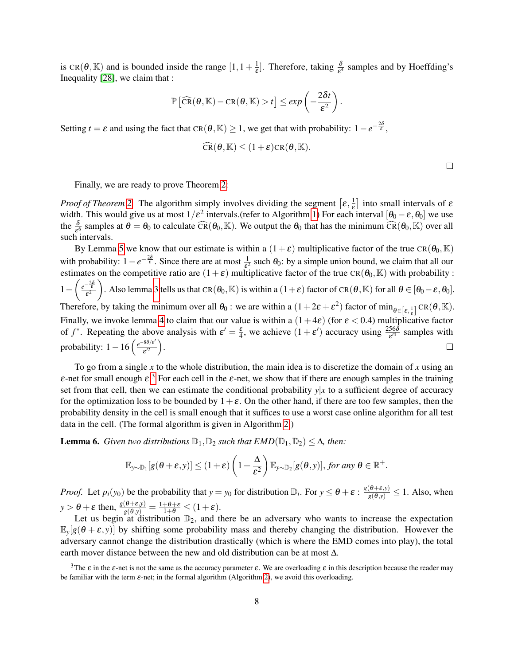is CR( $\theta$ , K) and is bounded inside the range  $[1, 1 + \frac{1}{\epsilon}]$  $\frac{1}{\varepsilon}$ . Therefore, taking  $\frac{\delta}{\varepsilon^4}$  samples and by Hoeffding's Inequality [\[28\]](#page-25-11), we claim that :

$$
\mathbb{P}\left[\widehat{\text{CR}}(\theta,\mathbb{K})-\text{CR}(\theta,\mathbb{K})>t\right]\leq exp\left(-\frac{2\delta t}{\epsilon^2}\right).
$$

Setting *t* =  $\varepsilon$  and using the fact that CR( $\theta$ , K) ≥ 1, we get that with probability:  $1 - e^{-\frac{2\delta}{\varepsilon}}$ ,

$$
\widehat{\text{CR}}(\boldsymbol{\theta}, \mathbb{K}) \leq (1+\varepsilon)\text{CR}(\boldsymbol{\theta}, \mathbb{K}).
$$

 $\Box$ 

Finally, we are ready to prove Theorem [2:](#page-5-4)

*Proof of Theorem* [2.](#page-5-4) The algorithm simply involves dividing the segment  $[\varepsilon, \frac{1}{\varepsilon}]$  $\frac{1}{\varepsilon}$  into small intervals of  $\varepsilon$ width. This would give us at most  $1/\varepsilon^2$  intervals.(refer to Algorithm [1\)](#page-5-2) For each interval  $[\theta_0 - \varepsilon, \theta_0]$  we use the  $\frac{\delta}{\epsilon^6}$  samples at  $\theta = \theta_0$  to calculate  $\widehat{CR}(\theta_0, \mathbb{K})$ . We output the  $\theta_0$  that has the minimum  $\widehat{CR}(\theta_0, \mathbb{K})$  over all such intervals.

By Lemma [5](#page-6-1) we know that our estimate is within a  $(1+\varepsilon)$  multiplicative factor of the true CR( $\theta_0$ , K) with probability:  $1-e^{-\frac{2\delta}{\varepsilon}}$ . Since there are at most  $\frac{1}{\varepsilon^2}$  such  $\theta_0$ : by a simple union bound, we claim that all our estimates on the competitive ratio are  $(1+\varepsilon)$  multiplicative factor of the true CR( $\theta_0$ , K) with probability :  $1-\left(\frac{e^{-\frac{2\delta}{\varepsilon}}}{\varepsilon^2}\right)$ ). Also lemma [3](#page-5-3) tells us that CR( $\theta_0$ , K) is within a (1+ $\varepsilon$ ) factor of CR( $\theta$ , K) for all  $\theta \in [\theta_0 - \varepsilon, \theta_0]$ .  $\varepsilon^2$ Therefore, by taking the minimum over all  $\theta_0$ : we are within a  $(1+2\varepsilon+\varepsilon^2)$  factor of  $\min_{\theta \in [\varepsilon,\frac{1}{\varepsilon}]} CR(\theta,\mathbb{K})$ . Finally, we invoke lemma [4](#page-6-0) to claim that our value is within a  $(1+4\varepsilon)$  (for  $\varepsilon < 0.4$ ) multiplicative factor of  $f^*$ . Repeating the above analysis with  $\varepsilon' = \frac{\varepsilon}{4}$ , we achieve  $(1 + \varepsilon')$  accuracy using  $\frac{256\delta}{\varepsilon'^4}$  samples with probability:  $1 - 16 \left( \frac{e^{-8\delta/\varepsilon'}}{g^2} \right)$  $\frac{1}{\varepsilon'^2}\bigg).$  $\Box$ 

To go from a single *x* to the whole distribution, the main idea is to discretize the domain of *x* using an  $\varepsilon$ -net for small enough  $\varepsilon$ .<sup>[3](#page-7-0)</sup> For each cell in the  $\varepsilon$ -net, we show that if there are enough samples in the training set from that cell, then we can estimate the conditional probability  $y|x$  to a sufficient degree of accuracy for the optimization loss to be bounded by  $1+\varepsilon$ . On the other hand, if there are too few samples, then the probability density in the cell is small enough that it suffices to use a worst case online algorithm for all test data in the cell. (The formal algorithm is given in Algorithm [2.](#page-5-5))

**Lemma 6.** *Given two distributions*  $\mathbb{D}_1$ ,  $\mathbb{D}_2$  *such that*  $EMD(\mathbb{D}_1, \mathbb{D}_2) \leq \Delta$ *, then:* 

$$
\mathbb{E}_{y \sim \mathbb{D}_1}[g(\boldsymbol{\theta} + \boldsymbol{\varepsilon},y)] \leq (1+\boldsymbol{\varepsilon}) \left(1+\frac{\Delta}{\boldsymbol{\varepsilon}^2}\right) \mathbb{E}_{y \sim \mathbb{D}_2}[g(\boldsymbol{\theta},y)], \text{ for any } \boldsymbol{\theta} \in \mathbb{R}^+.
$$

*Proof.* Let  $p_i(y_0)$  be the probability that  $y = y_0$  for distribution  $\mathbb{D}_i$ . For  $y \le \theta + \varepsilon : \frac{g(\theta + \varepsilon, y)}{g(\theta, y)} \le 1$ . Also, when  $y > \theta + \varepsilon$  then,  $\frac{g(\theta + \varepsilon, y)}{g(\theta, y)} = \frac{1 + \theta + \varepsilon}{1 + \theta} \le (1 + \varepsilon).$ 

Let us begin at distribution  $\mathbb{D}_2$ , and there be an adversary who wants to increase the expectation  $\mathbb{E}_y[g(\theta + \varepsilon, y)]$  by shifting some probability mass and thereby changing the distribution. However the adversary cannot change the distribution drastically (which is where the EMD comes into play), the total earth mover distance between the new and old distribution can be at most ∆.

<span id="page-7-0"></span><sup>&</sup>lt;sup>3</sup>The  $\varepsilon$  in the  $\varepsilon$ -net is not the same as the accuracy parameter  $\varepsilon$ . We are overloading  $\varepsilon$  in this description because the reader may be familiar with the term ε-net; in the formal algorithm (Algorithm [2\)](#page-5-5), we avoid this overloading.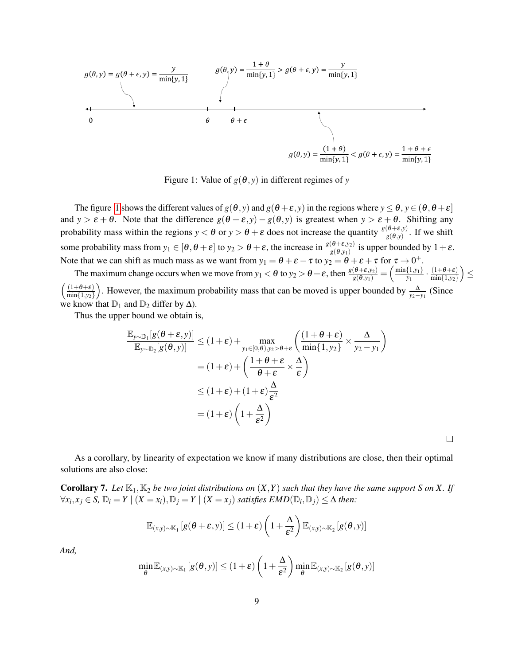$$
g(\theta, y) = g(\theta + \epsilon, y) = \frac{y}{\min\{y, 1\}}
$$

$$
g(\theta, y) = \frac{1 + \theta}{\min\{y, 1\}} > g(\theta + \epsilon, y) = \frac{y}{\min\{y, 1\}}
$$

<span id="page-8-0"></span>Figure 1: Value of  $g(\theta, y)$  in different regimes of *y* 

The figure [1](#page-8-0) shows the different values of  $g(\theta, y)$  and  $g(\theta + \varepsilon, y)$  in the regions where  $y \le \theta$ ,  $y \in (\theta, \theta + \varepsilon)$ and  $y > \varepsilon + \theta$ . Note that the difference  $g(\theta + \varepsilon, y) - g(\theta, y)$  is greatest when  $y > \varepsilon + \theta$ . Shifting any probability mass within the regions  $y < \theta$  or  $y > \theta + \varepsilon$  does not increase the quantity  $\frac{g(\theta + \varepsilon, y)}{g(\theta, y)}$ . If we shift some probability mass from  $y_1 \in [\theta, \theta + \varepsilon]$  to  $y_2 > \theta + \varepsilon$ , the increase in  $\frac{g(\theta + \varepsilon, y_2)}{g(\theta, y_1)}$  is upper bounded by  $1 + \varepsilon$ . Note that we can shift as much mass as we want from  $y_1 = \theta + \varepsilon - \tau$  to  $y_2 = \theta + \varepsilon + \tau$  for  $\tau \to 0^+$ .

The maximum change occurs when we move from  $y_1 < \theta$  to  $y_2 > \theta + \varepsilon$ , then  $\frac{g(\theta + \varepsilon, y_2)}{g(\theta, y_1)} = \left(\frac{\min\{1, y_1\}}{y_1}\right)$  $\frac{\{1,y_1\}}{y_1}\cdot \frac{(1+\theta+\epsilon)}{\min\{1,y_2\}}$ min{1,*y*2} ≤  $\left( \frac{(1+\theta+\varepsilon)}{2} \right)$ min{1,*y*2} ). However, the maximum probability mass that can be moved is upper bounded by  $\frac{\Delta}{y_2 - y_1}$  (Since we know that  $\mathbb{D}_1$  and  $\mathbb{D}_2$  differ by  $\Delta$ ).

Thus the upper bound we obtain is,

$$
\frac{\mathbb{E}_{y \sim \mathbb{D}_1}[g(\theta + \varepsilon, y)]}{\mathbb{E}_{y \sim \mathbb{D}_2}[g(\theta, y)]} \le (1 + \varepsilon) + \max_{y_1 \in [0, \theta), y_2 > \theta + \varepsilon} \left( \frac{(1 + \theta + \varepsilon)}{\min\{1, y_2\}} \times \frac{\Delta}{y_2 - y_1} \right)
$$

$$
= (1 + \varepsilon) + \left( \frac{1 + \theta + \varepsilon}{\theta + \varepsilon} \times \frac{\Delta}{\varepsilon} \right)
$$

$$
\le (1 + \varepsilon) + (1 + \varepsilon) \frac{\Delta}{\varepsilon^2}
$$

$$
= (1 + \varepsilon) \left( 1 + \frac{\Delta}{\varepsilon^2} \right)
$$

 $\Box$ 

As a corollary, by linearity of expectation we know if many distributions are close, then their optimal solutions are also close:

<span id="page-8-1"></span>**Corollary 7.** Let  $\mathbb{K}_1, \mathbb{K}_2$  be two joint distributions on  $(X, Y)$  such that they have the same support S on X. If  $\forall x_i, x_j \in S$ ,  $\mathbb{D}_i = Y \mid (X = x_i), \mathbb{D}_j = Y \mid (X = x_j)$  *satisfies EMD*( $\mathbb{D}_i, \mathbb{D}_j$ ) ≤ ∆ *then*:

$$
\mathbb{E}_{(x,y)\sim \mathbb{K}_1} \left[ g(\boldsymbol{\theta} + \boldsymbol{\varepsilon}, y) \right] \leq (1+\boldsymbol{\varepsilon}) \left( 1 + \frac{\Delta}{\boldsymbol{\varepsilon}^2} \right) \mathbb{E}_{(x,y)\sim \mathbb{K}_2} \left[ g(\boldsymbol{\theta}, y) \right]
$$

*And,*

$$
\min_{\theta} \mathbb{E}_{(x,y)\sim \mathbb{K}_1} \left[ g(\theta, y) \right] \leq (1+\varepsilon) \left( 1 + \frac{\Delta}{\varepsilon^2} \right) \min_{\theta} \mathbb{E}_{(x,y)\sim \mathbb{K}_2} \left[ g(\theta, y) \right]
$$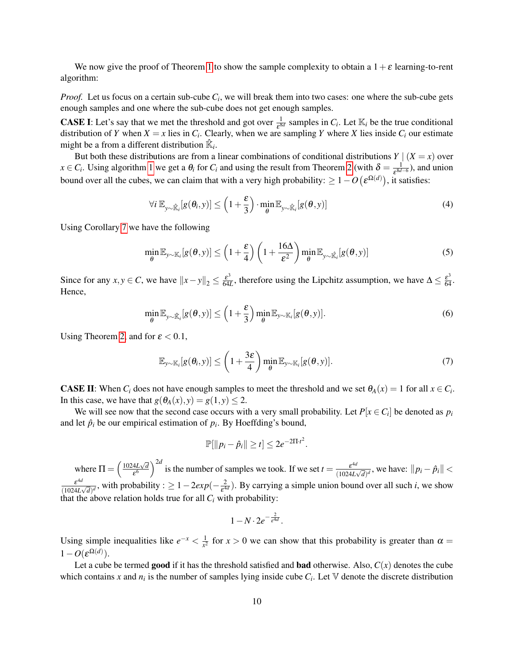We now give the proof of Theorem [1](#page-4-0) to show the sample complexity to obtain a  $1+\varepsilon$  learning-to-rent algorithm:

*Proof.* Let us focus on a certain sub-cube *C<sup>i</sup>* , we will break them into two cases: one where the sub-cube gets enough samples and one where the sub-cube does not get enough samples.

**CASE I:** Let's say that we met the threshold and got over  $\frac{1}{\varepsilon^{8d}}$  samples in  $C_i$ . Let  $\mathbb{K}_i$  be the true conditional distribution of *Y* when  $X = x$  lies in  $C_i$ . Clearly, when we are sampling *Y* where *X* lies inside  $C_i$  our estimate might be a from a different distribution  $\mathbb{R}_i$ .

But both these distributions are from a linear combinations of conditional distributions  $Y | (X = x)$  over  $x \in C_i$ . Using algorithm [1](#page-5-2) we get a  $\theta_i$  for  $C_i$  and using the result from Theorem [2](#page-5-4) (with  $\delta = \frac{1}{\epsilon^{8d}}$  $\frac{1}{\varepsilon^{8d-6}}$ ), and union bound over all the cubes, we can claim that with a very high probability:  $\geq 1 - O\left(\varepsilon^{\Omega(d)}\right)$ , it satisfies:

$$
\forall i \ \mathbb{E}_{y \sim \hat{\mathbb{K}}_i}[g(\theta_i, y)] \leq \left(1 + \frac{\varepsilon}{3}\right) \cdot \min_{\theta} \mathbb{E}_{y \sim \hat{\mathbb{K}}_i}[g(\theta, y)] \tag{4}
$$

Using Corollary [7](#page-8-1) we have the following

$$
\min_{\theta} \mathbb{E}_{y \sim \mathbb{K}_i}[g(\theta, y)] \le \left(1 + \frac{\varepsilon}{4}\right) \left(1 + \frac{16\Delta}{\varepsilon^2}\right) \min_{\theta} \mathbb{E}_{y \sim \mathbb{K}_i}[g(\theta, y)] \tag{5}
$$

Since for any *x*, *y* ∈ *C*, we have  $||x - y||_2 \le \frac{\varepsilon^3}{64}$  $\frac{\varepsilon^3}{64L}$ , therefore using the Lipchitz assumption, we have  $\Delta \leq \frac{\varepsilon^3}{64}$ . Hence,

$$
\min_{\theta} \mathbb{E}_{y \sim \hat{\mathbb{K}}_i}[g(\theta, y)] \leq \left(1 + \frac{\varepsilon}{3}\right) \min_{\theta} \mathbb{E}_{y \sim \mathbb{K}_i}[g(\theta, y)]. \tag{6}
$$

Using Theorem [2,](#page-5-4) and for  $\varepsilon < 0.1$ ,

$$
\mathbb{E}_{y\sim\mathbb{K}_i}[g(\theta_i,y)] \leq \left(1+\frac{3\varepsilon}{4}\right) \min_{\theta} \mathbb{E}_{y\sim\mathbb{K}_i}[g(\theta,y)]. \tag{7}
$$

**CASE II:** When  $C_i$  does not have enough samples to meet the threshold and we set  $\theta_A(x) = 1$  for all  $x \in C_i$ . In this case, we have that  $g(\theta_A(x), y) = g(1, y) \leq 2$ .

We will see now that the second case occurs with a very small probability. Let  $P[x \in C_i]$  be denoted as  $p_i$ and let  $\hat{p}_i$  be our empirical estimation of  $p_i$ . By Hoeffding's bound,

$$
\mathbb{P}[\|p_i-\hat{p}_i\|\geq t]\leq 2e^{-2\Pi\cdot t^2}.
$$

where  $\Pi = \left(\frac{1024L\sqrt{d}}{56}\right)$  $\frac{4L\sqrt{d}}{\epsilon^6}$  is the number of samples we took. If we set  $t = \frac{\epsilon^{4d}}{(1024L^4)}$  $\frac{\varepsilon^{4a}}{(1024L\sqrt{d})^d}$ , we have:  $||p_i - \hat{p}_i|| <$ ε 4*d*  $\frac{\varepsilon^{4d}}{(1024L\sqrt{d})^d}$ , with probability :  $\geq 1-2exp(-\frac{2}{\varepsilon^4})$  $\frac{2}{\epsilon^{4d}}$ ). By carrying a simple union bound over all such *i*, we show that the above relation holds true for all  $C_i$  with probability:

$$
1 - N \cdot 2e^{-\frac{2}{\varepsilon^{4d}}}.
$$

Using simple inequalities like  $e^{-x} < \frac{1}{x^2}$  $\frac{1}{x^2}$  for  $x > 0$  we can show that this probability is greater than  $\alpha =$  $1-O(\varepsilon^{\Omega(d)})$ .

Let a cube be termed **good** if it has the threshold satisfied and **bad** otherwise. Also,  $C(x)$  denotes the cube which contains x and  $n_i$  is the number of samples lying inside cube  $C_i$ . Let  $\nabla$  denote the discrete distribution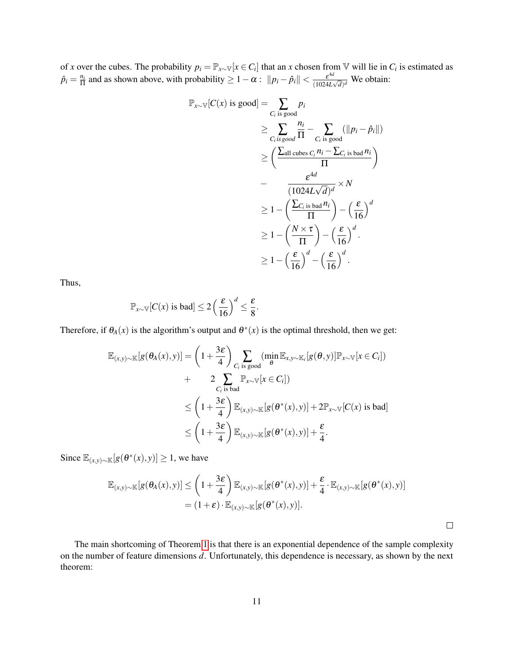of *x* over the cubes. The probability  $p_i = \mathbb{P}_{x \sim \mathbb{V}}[x \in C_i]$  that an *x* chosen from  $\mathbb{V}$  will lie in  $C_i$  is estimated as  $\hat{p}_i = \frac{n_i}{\Pi}$  $\frac{n_i}{\Pi}$  and as shown above, with probability  $\geq 1 - \alpha$ :  $\|p_i - \hat{p}_i\| < \frac{\varepsilon^{4d}}{(1024L)^{4d}}$  $\frac{\varepsilon^{4a}}{(1024L\sqrt{d})^d}$  We obtain:

$$
\mathbb{P}_{x \sim \mathbb{V}}[C(x) \text{ is good}] = \sum_{C_i \text{ is good}} p_i
$$
\n
$$
\geq \sum_{C_i \text{ is good}} \frac{n_i}{\Pi} - \sum_{C_i \text{ is good}} (\|p_i - \hat{p}_i\|)
$$
\n
$$
\geq \left(\frac{\sum_{\text{all cubes } C_i} n_i - \sum_{C_i \text{ is bad}} n_i}{\Pi}\right)
$$
\n
$$
- \frac{\varepsilon^{4d}}{(1024L\sqrt{d})^d} \times N
$$
\n
$$
\geq 1 - \left(\frac{\sum_{C_i \text{ is bad}} n_i}{\Pi}\right) - \left(\frac{\varepsilon}{16}\right)^d
$$
\n
$$
\geq 1 - \left(\frac{N \times \tau}{\Pi}\right) - \left(\frac{\varepsilon}{16}\right)^d.
$$
\n
$$
\geq 1 - \left(\frac{\varepsilon}{16}\right)^d - \left(\frac{\varepsilon}{16}\right)^d.
$$

Thus,

$$
\mathbb{P}_{x \sim \mathbb{V}}[C(x) \text{ is bad}] \le 2\left(\frac{\varepsilon}{16}\right)^d \le \frac{\varepsilon}{8}.
$$

Therefore, if  $\theta_A(x)$  is the algorithm's output and  $\theta^*(x)$  is the optimal threshold, then we get:

$$
\mathbb{E}_{(x,y)\sim\mathbb{K}}[g(\theta_A(x),y)] = \left(1 + \frac{3\varepsilon}{4}\right) \sum_{C_i \text{ is good}} (\min_{\theta} \mathbb{E}_{x,y\sim\mathbb{K}_i}[g(\theta,y)] \mathbb{P}_{x\sim\mathbb{V}}[x \in C_i]) \n+ 2 \sum_{C_i \text{ is bad}} \mathbb{P}_{x\sim\mathbb{V}}[x \in C_i]) \n\leq \left(1 + \frac{3\varepsilon}{4}\right) \mathbb{E}_{(x,y)\sim\mathbb{K}}[g(\theta^*(x),y)] + 2\mathbb{P}_{x\sim\mathbb{V}}[C(x) \text{ is bad}] \n\leq \left(1 + \frac{3\varepsilon}{4}\right) \mathbb{E}_{(x,y)\sim\mathbb{K}}[g(\theta^*(x),y)] + \frac{\varepsilon}{4}.
$$

Since  $\mathbb{E}_{(x,y)\sim\mathbb{K}}[g(\theta^*(x),y)] \geq 1$ , we have

$$
\mathbb{E}_{(x,y)\sim\mathbb{K}}[g(\theta_A(x),y)] \leq \left(1+\frac{3\varepsilon}{4}\right) \mathbb{E}_{(x,y)\sim\mathbb{K}}[g(\theta^*(x),y)] + \frac{\varepsilon}{4} \cdot \mathbb{E}_{(x,y)\sim\mathbb{K}}[g(\theta^*(x),y)]
$$
  
=  $(1+\varepsilon)\cdot \mathbb{E}_{(x,y)\sim\mathbb{K}}[g(\theta^*(x),y)].$ 

 $\Box$ 

The main shortcoming of Theorem [1](#page-4-0) is that there is an exponential dependence of the sample complexity on the number of feature dimensions *d*. Unfortunately, this dependence is necessary, as shown by the next theorem: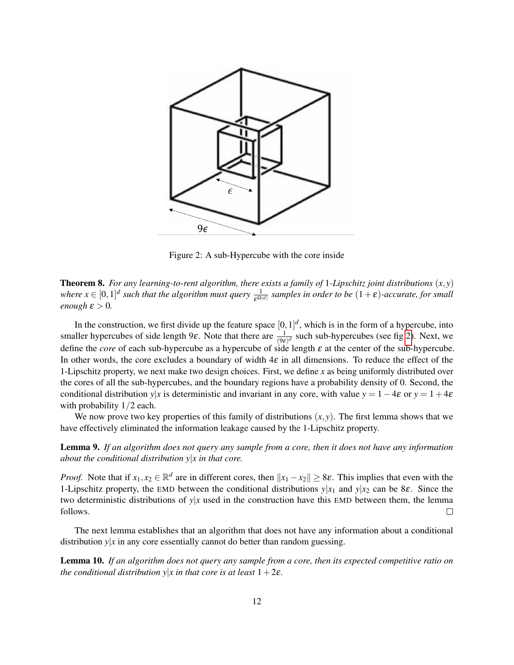

<span id="page-11-1"></span>Figure 2: A sub-Hypercube with the core inside

<span id="page-11-0"></span>**Theorem 8.** For any learning-to-rent algorithm, there exists a family of 1-Lipschitz joint distributions  $(x, y)$ where  $x \in [0,1]^d$  such that the algorithm must query  $\frac{1}{\epsilon^{\Omega(d)}}$  samples in order to be  $(1+\epsilon)$ -accurate, for small *enough*  $\varepsilon > 0$ *.* 

In the construction, we first divide up the feature space  $[0,1]^d$ , which is in the form of a hypercube, into smaller hypercubes of side length 9 $\varepsilon$ . Note that there are  $\frac{1}{(9\varepsilon)^d}$  such sub-hypercubes (see fig [2\)](#page-11-1). Next, we define the *core* of each sub-hypercube as a hypercube of side length ε at the center of the sub-hypercube. In other words, the core excludes a boundary of width  $4\varepsilon$  in all dimensions. To reduce the effect of the 1-Lipschitz property, we next make two design choices. First, we define *x* as being uniformly distributed over the cores of all the sub-hypercubes, and the boundary regions have a probability density of 0. Second, the conditional distribution *y*|*x* is deterministic and invariant in any core, with value  $y = 1 - 4\varepsilon$  or  $y = 1 + 4\varepsilon$ with probability  $1/2$  each.

We now prove two key properties of this family of distributions  $(x, y)$ . The first lemma shows that we have effectively eliminated the information leakage caused by the 1-Lipschitz property.

<span id="page-11-2"></span>Lemma 9. *If an algorithm does not query any sample from a core, then it does not have any information about the conditional distribution y*|*x in that core.*

*Proof.* Note that if  $x_1, x_2 \in \mathbb{R}^d$  are in different cores, then  $||x_1 - x_2|| \ge 8\varepsilon$ . This implies that even with the 1-Lipschitz property, the EMD between the conditional distributions  $y|x_1$  and  $y|x_2$  can be 8 $\varepsilon$ . Since the two deterministic distributions of  $y|x$  used in the construction have this EMD between them, the lemma follows.  $\Box$ 

The next lemma establishes that an algorithm that does not have any information about a conditional distribution  $y|x$  in any core essentially cannot do better than random guessing.

<span id="page-11-3"></span>Lemma 10. *If an algorithm does not query any sample from a core, then its expected competitive ratio on the conditional distribution y|x in that core is at least*  $1+2\varepsilon$ *.*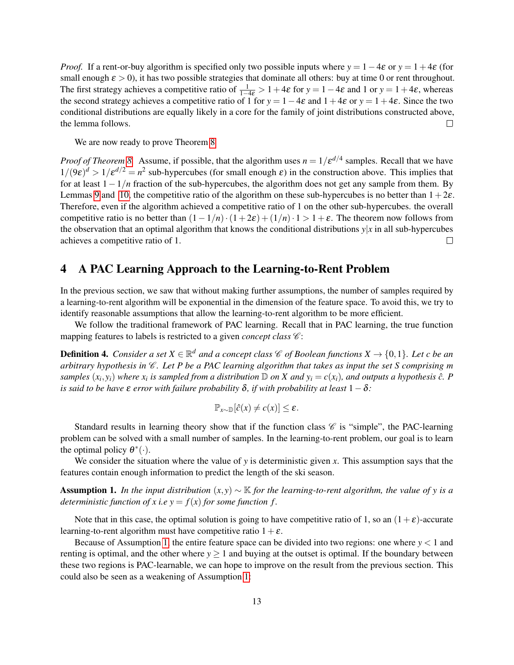*Proof.* If a rent-or-buy algorithm is specified only two possible inputs where  $y = 1 - 4\varepsilon$  or  $y = 1 + 4\varepsilon$  (for small enough  $\varepsilon > 0$ ), it has two possible strategies that dominate all others: buy at time 0 or rent throughout. The first strategy achieves a competitive ratio of  $\frac{1}{1-4\varepsilon} > 1+4\varepsilon$  for  $y = 1-4\varepsilon$  and 1 or  $y = 1+4\varepsilon$ , whereas the second strategy achieves a competitive ratio of 1 for  $y = 1-4\varepsilon$  and  $1+4\varepsilon$  or  $y = 1+4\varepsilon$ . Since the two conditional distributions are equally likely in a core for the family of joint distributions constructed above, the lemma follows.  $\Box$ 

We are now ready to prove Theorem [8](#page-11-0)

*Proof of Theorem [8.](#page-11-0)* Assume, if possible, that the algorithm uses  $n = 1/\varepsilon^{d/4}$  samples. Recall that we have  $1/(9\varepsilon)^d > 1/\varepsilon^{d/2} = n^2$  sub-hypercubes (for small enough  $\varepsilon$ ) in the construction above. This implies that for at least 1−1/*n* fraction of the sub-hypercubes, the algorithm does not get any sample from them. By Lemmas [9](#page-11-2) and [10,](#page-11-3) the competitive ratio of the algorithm on these sub-hypercubes is no better than  $1+2\varepsilon$ . Therefore, even if the algorithm achieved a competitive ratio of 1 on the other sub-hypercubes. the overall competitive ratio is no better than  $(1-1/n) \cdot (1+2\varepsilon) + (1/n) \cdot 1 > 1+\varepsilon$ . The theorem now follows from the observation that an optimal algorithm that knows the conditional distributions  $y|x$  in all sub-hypercubes achieves a competitive ratio of 1.  $\Box$ 

### 4 A PAC Learning Approach to the Learning-to-Rent Problem

In the previous section, we saw that without making further assumptions, the number of samples required by a learning-to-rent algorithm will be exponential in the dimension of the feature space. To avoid this, we try to identify reasonable assumptions that allow the learning-to-rent algorithm to be more efficient.

We follow the traditional framework of PAC learning. Recall that in PAC learning, the true function mapping features to labels is restricted to a given *concept class*  $\mathscr{C}$ :

**Definition 4.** Consider a set  $X \in \mathbb{R}^d$  and a concept class  $\mathscr{C}$  of Boolean functions  $X \to \{0,1\}$ . Let c be an *arbitrary hypothesis in*  $\mathscr{C}$ *. Let P be a PAC learning algorithm that takes as input the set S comprising m* samples  $(x_i, y_i)$  where  $x_i$  is sampled from a distribution  $D$  on X and  $y_i = c(x_i)$ , and outputs a hypothesis  $\hat{c}$ . P *is said to be have*  $\varepsilon$  *error with failure probability*  $\delta$ *, if with probability at least*  $1 - \delta$ *:* 

$$
\mathbb{P}_{x\sim\mathbb{D}}[\hat{c}(x)\neq c(x)]\leq \varepsilon.
$$

Standard results in learning theory show that if the function class  $\mathscr C$  is "simple", the PAC-learning problem can be solved with a small number of samples. In the learning-to-rent problem, our goal is to learn the optimal policy  $\theta^*(\cdot)$ .

We consider the situation where the value of *y* is deterministic given *x*. This assumption says that the features contain enough information to predict the length of the ski season.

<span id="page-12-0"></span>**Assumption 1.** *In the input distribution*  $(x, y) \sim \mathbb{K}$  *for the learning-to-rent algorithm, the value of y is a deterministic function of x i.e*  $y = f(x)$  *for some function f.* 

Note that in this case, the optimal solution is going to have competitive ratio of 1, so an  $(1+\varepsilon)$ -accurate learning-to-rent algorithm must have competitive ratio  $1+\varepsilon$ .

Because of Assumption [1,](#page-12-0) the entire feature space can be divided into two regions: one where  $y < 1$  and renting is optimal, and the other where  $y \ge 1$  and buying at the outset is optimal. If the boundary between these two regions is PAC-learnable, we can hope to improve on the result from the previous section. This could also be seen as a weakening of Assumption [1:](#page-12-0)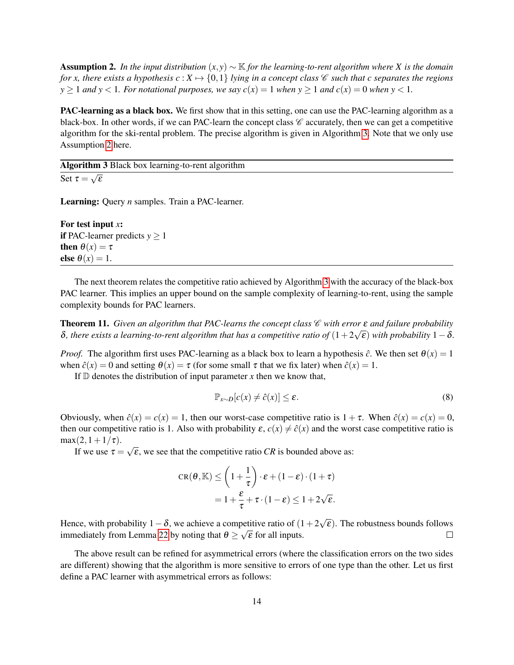<span id="page-13-1"></span>**Assumption 2.** In the input distribution  $(x, y) \sim \mathbb{K}$  for the learning-to-rent algorithm where X is the domain *for x*, there exists a hypothesis  $c: X \mapsto \{0,1\}$  *lying in a concept class*  $\mathscr C$  *such that c separates the regions y*  $\geq$  1 *and y*  $\lt$  1*. For notational purposes, we say*  $c(x) = 1$  *<i>when*  $y \geq 1$  *and*  $c(x) = 0$  *when*  $y \leq 1$ *.* 

PAC-learning as a black box. We first show that in this setting, one can use the PAC-learning algorithm as a black-box. In other words, if we can PAC-learn the concept class  $\mathscr C$  accurately, then we can get a competitive algorithm for the ski-rental problem. The precise algorithm is given in Algorithm [3.](#page-13-0) Note that we only use Assumption [2](#page-13-1) here.

Algorithm 3 Black box learning-to-rent algorithm √

<span id="page-13-0"></span>Set  $\tau =$ ε

Learning: Query *n* samples. Train a PAC-learner.

For test input *x*: if PAC-learner predicts  $y \ge 1$ then  $\theta(x) = \tau$ else  $\theta(x) = 1$ .

The next theorem relates the competitive ratio achieved by Algorithm [3](#page-13-0) with the accuracy of the black-box PAC learner. This implies an upper bound on the sample complexity of learning-to-rent, using the sample complexity bounds for PAC learners.

<span id="page-13-2"></span>**Theorem 11.** *Given an algorithm that PAC-learns the concept class € with error* ε *and failure probability*  $\delta$ , there exists a learning-to-rent algorithm that has a competitive ratio of  $(1+2\sqrt{\epsilon})$  with probability  $1-\delta$ .

*Proof.* The algorithm first uses PAC-learning as a black box to learn a hypothesis  $\hat{c}$ . We then set  $\theta(x) = 1$ when  $\hat{c}(x) = 0$  and setting  $\theta(x) = \tau$  (for some small  $\tau$  that we fix later) when  $\hat{c}(x) = 1$ .

If  $\mathbb D$  denotes the distribution of input parameter *x* then we know that,

$$
\mathbb{P}_{x \sim D}[c(x) \neq \hat{c}(x)] \leq \varepsilon. \tag{8}
$$

Obviously, when  $\hat{c}(x) = c(x) = 1$ , then our worst-case competitive ratio is  $1 + \tau$ . When  $\hat{c}(x) = c(x) = 0$ , then our competitive ratio is 1. Also with probability  $\varepsilon$ ,  $c(x) \neq \hat{c}(x)$  and the worst case competitive ratio is  $max(2,1+1/\tau)$ . √

If we use  $\tau =$  $\overline{\epsilon}$ , we see that the competitive ratio *CR* is bounded above as:

$$
CR(\theta, \mathbb{K}) \le \left(1 + \frac{1}{\tau}\right) \cdot \varepsilon + (1 - \varepsilon) \cdot (1 + \tau)
$$
  
=  $1 + \frac{\varepsilon}{\tau} + \tau \cdot (1 - \varepsilon) \le 1 + 2\sqrt{\varepsilon}.$ 

√ Hence, with probability  $1-\delta$ , we achieve a competitive ratio of  $(1+2)$ betitive ratio of  $(1+2\sqrt{\varepsilon})$ . The robustness bounds follows immediately from Lemma [22](#page-20-0) by noting that  $\theta \geq \sqrt{\epsilon}$  for all inputs.  $\Box$ 

The above result can be refined for asymmetrical errors (where the classification errors on the two sides are different) showing that the algorithm is more sensitive to errors of one type than the other. Let us first define a PAC learner with asymmetrical errors as follows: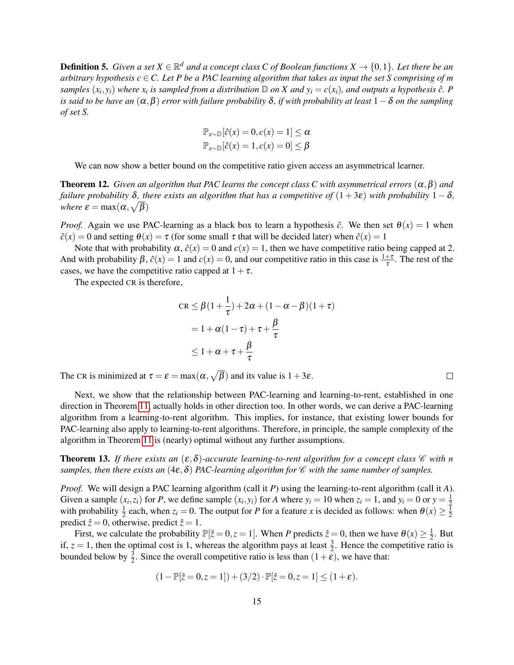**Definition 5.** Given a set  $X \in \mathbb{R}^d$  and a concept class C of Boolean functions  $X \to \{0,1\}$ . Let there be an *arbitrary hypothesis*  $c \in C$ . Let *P* be a PAC learning algorithm that takes as input the set *S* comprising of *m* samples  $(x_i, y_i)$  where  $x_i$  is sampled from a distribution  $D$  on X and  $y_i = c(x_i)$ , and outputs a hypothesis  $\hat{c}$ . P *is said to be have an* (α,β) *error with failure probability* δ*, if with probability at least* 1−δ *on the sampling of set S.*

$$
\mathbb{P}_{x \sim \mathbb{D}}[\hat{c}(x) = 0, c(x) = 1] \le \alpha
$$
  

$$
\mathbb{P}_{x \sim \mathbb{D}}[\hat{c}(x) = 1, c(x) = 0] \le \beta
$$

We can now show a better bound on the competitive ratio given access an asymmetrical learner.

**Theorem 12.** *Given an algorithm that PAC learns the concept class C with asymmetrical errors*  $(\alpha, \beta)$  *and failure probability*  $\delta$ *, there exists an algorithm that has a competitive of*  $(1+3\varepsilon)$  *with probability*  $1-\delta$ *, where*  $\varepsilon = \max(\alpha, \sqrt{\beta})$ 

*Proof.* Again we use PAC-learning as a black box to learn a hypothesis  $\hat{c}$ . We then set  $\theta(x) = 1$  when  $\hat{c}(x) = 0$  and setting  $\theta(x) = \tau$  (for some small  $\tau$  that will be decided later) when  $\hat{c}(x) = 1$ 

Note that with probability  $\alpha$ ,  $\hat{c}(x) = 0$  and  $c(x) = 1$ , then we have competitive ratio being capped at 2. And with probability  $\beta$ ,  $\hat{c}(x) = 1$  and  $c(x) = 0$ , and our competitive ratio in this case is  $\frac{1+\tau}{\tau}$ . The rest of the cases, we have the competitive ratio capped at  $1+\tau$ .

The expected CR is therefore,

$$
CR \leq \beta \left(1 + \frac{1}{\tau}\right) + 2\alpha + \left(1 - \alpha - \beta\right)\left(1 + \tau\right)
$$

$$
= 1 + \alpha\left(1 - \tau\right) + \tau + \frac{\beta}{\tau}
$$

$$
\leq 1 + \alpha + \tau + \frac{\beta}{\tau}
$$

The CR is minimized at  $\tau = \varepsilon = \max(\alpha, \sqrt{\beta})$  and its value is  $1 + 3\varepsilon$ .

Next, we show that the relationship between PAC-learning and learning-to-rent, established in one direction in Theorem [11,](#page-13-2) actually holds in other direction too. In other words, we can derive a PAC-learning algorithm from a learning-to-rent algorithm. This implies, for instance, that existing lower bounds for PAC-learning also apply to learning-to-rent algorithms. Therefore, in principle, the sample complexity of the algorithm in Theorem [11](#page-13-2) is (nearly) optimal without any further assumptions.

**Theorem 13.** *If there exists an*  $(\varepsilon, \delta)$ -accurate learning-to-rent algorithm for a concept class  $\mathscr C$  with n *samples, then there exists an*  $(4\varepsilon, \delta)$  *PAC-learning algorithm for*  $\mathscr C$  *with the same number of samples.* 

*Proof.* We will design a PAC learning algorithm (call it *P*) using the learning-to-rent algorithm (call it *A*). Given a sample  $(x_i, z_i)$  for P, we define sample  $(x_i, y_i)$  for A where  $y_i = 10$  when  $z_i = 1$ , and  $y_i = 0$  or  $y = \frac{1}{2}$ 2 with probability  $\frac{1}{2}$  each, when  $z_i = 0$ . The output for *P* for a feature *x* is decided as follows: when  $\theta(x) \ge \frac{1}{2}$ 2 predict  $\hat{z} = 0$ , otherwise, predict  $\hat{z} = 1$ .

First, we calculate the probability  $\mathbb{P}[\hat{z}=0, z=1]$ . When *P* predicts  $\hat{z}=0$ , then we have  $\theta(x) \geq \frac{1}{2}$  $\frac{1}{2}$ . But if,  $z = 1$ , then the optimal cost is 1, whereas the algorithm pays at least  $\frac{3}{2}$ . Hence the competitive ratio is bounded below by  $\frac{3}{2}$ . Since the overall competitive ratio is less than  $(1+\tilde{\epsilon})$ , we have that:

$$
(1 - \mathbb{P}[\hat{z} = 0, z = 1]) + (3/2) \cdot \mathbb{P}[\hat{z} = 0, z = 1] \le (1 + \varepsilon).
$$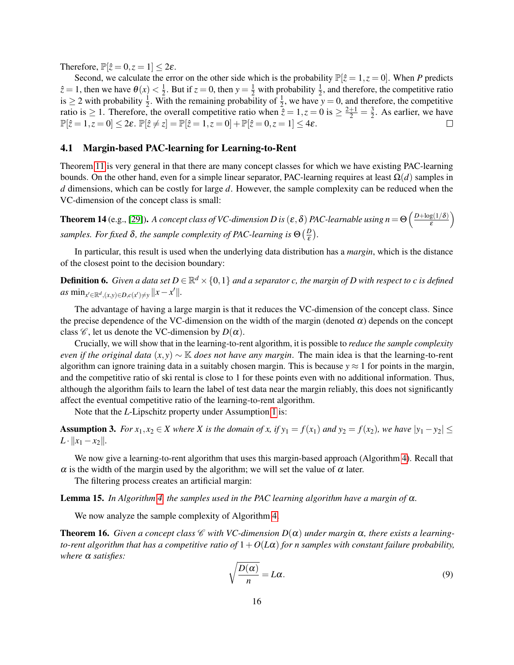Therefore,  $\mathbb{P}[\hat{z}=0, z=1] \leq 2\varepsilon$ .

Second, we calculate the error on the other side which is the probability  $\mathbb{P}[\hat{z}=1, z=0]$ . When *P* predicts  $\hat{z} = 1$ , then we have  $\theta(x) < \frac{1}{2}$  $\frac{1}{2}$ . But if  $z = 0$ , then  $y = \frac{1}{2}$  with probability  $\frac{1}{2}$ , and therefore, the competitive ratio is  $\geq 2$  with probability  $\frac{1}{2}$ . With the remaining probability of  $\frac{1}{2}$ , we have  $y = 0$ , and therefore, the competitive ratio is  $\geq 1$ . Therefore, the overall competitive ratio when  $\tilde{z} = 1, z = 0$  is  $\geq \frac{2+1}{2} = \frac{3}{2}$  $\frac{3}{2}$ . As earlier, we have  $\mathbb{P}[\hat{z} = 1, z = 0] \leq 2\varepsilon$ .  $\mathbb{P}[\hat{z} \neq z] = \mathbb{P}[\hat{z} = 1, z = 0] + \mathbb{P}[\hat{z} = 0, z = 1] \leq 4\varepsilon$ .  $\Box$ 

#### 4.1 Margin-based PAC-learning for Learning-to-Rent

Theorem [11](#page-13-2) is very general in that there are many concept classes for which we have existing PAC-learning bounds. On the other hand, even for a simple linear separator, PAC-learning requires at least Ω(*d*) samples in *d* dimensions, which can be costly for large *d*. However, the sample complexity can be reduced when the VC-dimension of the concept class is small:

<span id="page-15-0"></span>**Theorem 14** (e.g., [\[29\]](#page-25-12)). *A concept class of VC-dimension D is* ( $\varepsilon$ ,  $\delta$ ) *PAC-learnable using*  $n = \Theta\left(\frac{D + \log(1/\delta)}{\varepsilon}\right)$ ε  $\setminus$ samples. For fixed  $\delta$ , the sample complexity of PAC-learning is  $\Theta\left(\frac{D}{\epsilon}\right)$ ε *.*

In particular, this result is used when the underlying data distribution has a *margin*, which is the distance of the closest point to the decision boundary:

**Definition 6.** Given a data set  $D \in \mathbb{R}^d \times \{0,1\}$  and a separator c, the margin of  $D$  with respect to  $c$  is defined  $as \min_{x' \in \mathbb{R}^d, (x, y) \in D, c(x') \neq y} ||x - x'||.$ 

The advantage of having a large margin is that it reduces the VC-dimension of the concept class. Since the precise dependence of the VC-dimension on the width of the margin (denoted  $\alpha$ ) depends on the concept class  $\mathcal{C}$ , let us denote the VC-dimension by  $D(\alpha)$ .

Crucially, we will show that in the learning-to-rent algorithm, it is possible to *reduce the sample complexity even if the original data*  $(x, y) \sim \mathbb{K}$  *does not have any margin*. The main idea is that the learning-to-rent algorithm can ignore training data in a suitably chosen margin. This is because  $y \approx 1$  for points in the margin, and the competitive ratio of ski rental is close to 1 for these points even with no additional information. Thus, although the algorithm fails to learn the label of test data near the margin reliably, this does not significantly affect the eventual competitive ratio of the learning-to-rent algorithm.

Note that the *L*-Lipschitz property under Assumption [1](#page-12-0) is:

**Assumption 3.** For  $x_1, x_2 \in X$  where X is the domain of x, if  $y_1 = f(x_1)$  and  $y_2 = f(x_2)$ , we have  $|y_1 - y_2| \le$  $L \cdot ||x_1 - x_2||.$ 

We now give a learning-to-rent algorithm that uses this margin-based approach (Algorithm [4\)](#page-16-0). Recall that  $\alpha$  is the width of the margin used by the algorithm; we will set the value of  $\alpha$  later.

The filtering process creates an artificial margin:

<span id="page-15-1"></span>Lemma 15. *In Algorithm [4,](#page-16-0) the samples used in the PAC learning algorithm have a margin of* α*.*

<span id="page-15-2"></span>We now analyze the sample complexity of Algorithm [4.](#page-16-0)

<span id="page-15-3"></span>**Theorem 16.** *Given a concept class*  $\mathscr C$  *with VC-dimension*  $D(\alpha)$  *under margin*  $\alpha$ *, there exists a learningto-rent algorithm that has a competitive ratio of*  $1 + O(L\alpha)$  *for n samples with constant failure probability, where* α *satisfies:*

$$
\sqrt{\frac{D(\alpha)}{n}} = L\alpha.
$$
\n(9)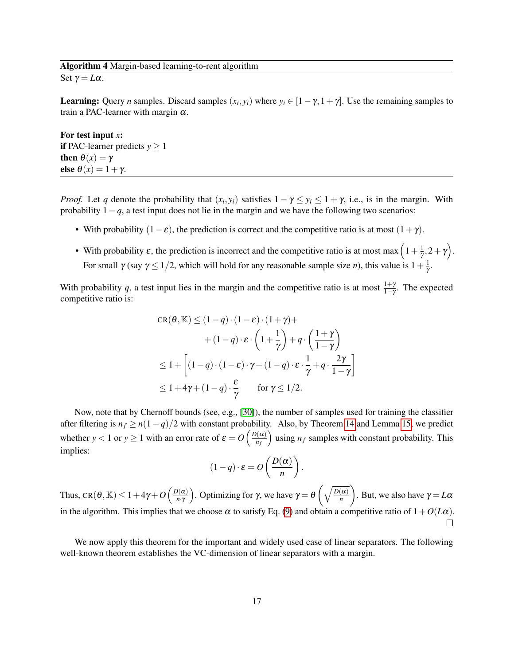#### Algorithm 4 Margin-based learning-to-rent algorithm

<span id="page-16-0"></span>Set  $\gamma = L\alpha$ .

**Learning:** Query *n* samples. Discard samples  $(x_i, y_i)$  where  $y_i \in [1 - \gamma, 1 + \gamma]$ . Use the remaining samples to train a PAC-learner with margin  $\alpha$ .

For test input *x*: **if PAC-learner predicts**  $y \ge 1$ then  $\theta(x) = \gamma$ else  $\theta(x) = 1 + \gamma$ .

*Proof.* Let *q* denote the probability that  $(x_i, y_i)$  satisfies  $1 - \gamma \le y_i \le 1 + \gamma$ , i.e., is in the margin. With probability  $1-q$ , a test input does not lie in the margin and we have the following two scenarios:

- With probability  $(1-\varepsilon)$ , the prediction is correct and the competitive ratio is at most  $(1+\gamma)$ .
- With probability  $\varepsilon$ , the prediction is incorrect and the competitive ratio is at most max  $\left(1+\frac{1}{\gamma}\right)$  $\frac{1}{\gamma}, 2+\gamma$ . For small  $\gamma$  (say  $\gamma \leq 1/2$ , which will hold for any reasonable sample size *n*), this value is  $1 + \frac{1}{\gamma}$ γ .

With probability q, a test input lies in the margin and the competitive ratio is at most  $\frac{1+\gamma}{1-\gamma}$ . The expected competitive ratio is:

$$
CR(\theta, \mathbb{K}) \le (1-q) \cdot (1-\varepsilon) \cdot (1+\gamma) +
$$
  
+  $(1-q) \cdot \varepsilon \cdot \left(1+\frac{1}{\gamma}\right) + q \cdot \left(\frac{1+\gamma}{1-\gamma}\right)$   
 $\le 1 + \left[ (1-q) \cdot (1-\varepsilon) \cdot \gamma + (1-q) \cdot \varepsilon \cdot \frac{1}{\gamma} + q \cdot \frac{2\gamma}{1-\gamma} \right]$   
 $\le 1 + 4\gamma + (1-q) \cdot \frac{\varepsilon}{\gamma}$  for  $\gamma \le 1/2$ .

Now, note that by Chernoff bounds (see, e.g., [\[30\]](#page-25-13)), the number of samples used for training the classifier after filtering is  $n_f \ge n(1-q)/2$  with constant probability. Also, by Theorem [14](#page-15-0) and Lemma [15,](#page-15-1) we predict whether  $y < 1$  or  $y \ge 1$  with an error rate of  $\varepsilon = O\left(\frac{D(\alpha)}{n\epsilon}\right)$ *nf* ) using  $n_f$  samples with constant probability. This implies:

$$
(1-q)\cdot \varepsilon = O\left(\frac{D(\alpha)}{n}\right).
$$

Thus, CR $(\theta, \mathbb{K}) \leq 1 + 4\gamma + O\left(\frac{D(\alpha)}{n \cdot \gamma}\right)$ *n*·γ ). Optimizing for γ, we have  $\gamma = \theta \left( \sqrt{\frac{D(\alpha)}{n}} \right)$ *n*  $\int$ . But, we also have  $\gamma = L\alpha$ in the algorithm. This implies that we choose  $\alpha$  to satisfy Eq. [\(9\)](#page-15-2) and obtain a competitive ratio of  $1+O(L\alpha)$ .

We now apply this theorem for the important and widely used case of linear separators. The following well-known theorem establishes the VC-dimension of linear separators with a margin.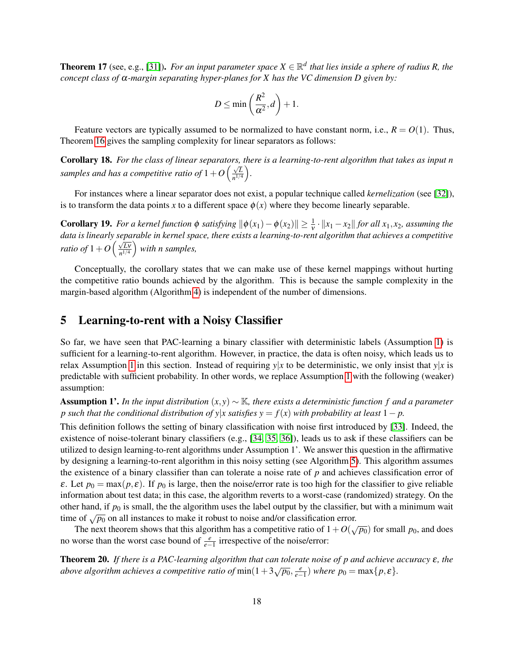**Theorem 17** (see, e.g., [\[31\]](#page-25-14)). For an input parameter space  $X \in \mathbb{R}^d$  that lies inside a sphere of radius R, the *concept class of* α*-margin separating hyper-planes for X has the VC dimension D given by:*

$$
D \le \min\left(\frac{R^2}{\alpha^2}, d\right) + 1.
$$

Feature vectors are typically assumed to be normalized to have constant norm, i.e.,  $R = O(1)$ . Thus, Theorem [16](#page-15-3) gives the sampling complexity for linear separators as follows:

<span id="page-17-1"></span>Corollary 18. *For the class of linear separators, there is a learning-to-rent algorithm that takes as input n samples and has a competitive ratio of*  $1 + O\left(\frac{\sqrt{L}}{2\sqrt{L}}\right)$  $\frac{\sqrt{L}}{n^{1/4}}$ .

For instances where a linear separator does not exist, a popular technique called *kernelization* (see [\[32\]](#page-26-0)), is to transform the data points *x* to a different space  $\phi(x)$  where they become linearly separable.

**Corollary 19.** For a kernel function  $\phi$  satisfying  $\|\phi(x_1) - \phi(x_2)\| \ge \frac{1}{\gamma}$  $\frac{1}{v} \cdot ||x_1 - x_2||$  *for all*  $x_1, x_2$ *, assuming the data is linearly separable in kernel space, there exists a learning-to-rent algorithm that achieves a competitive ratio of*  $1 + O\left(\frac{\sqrt{L}v}{v^{1/4}}\right)$  $\sqrt{\frac{Lv}{n^{1/4}}}$  with n samples,

Conceptually, the corollary states that we can make use of these kernel mappings without hurting the competitive ratio bounds achieved by the algorithm. This is because the sample complexity in the margin-based algorithm (Algorithm [4\)](#page-16-0) is independent of the number of dimensions.

### 5 Learning-to-rent with a Noisy Classifier

So far, we have seen that PAC-learning a binary classifier with deterministic labels (Assumption [1\)](#page-12-0) is sufficient for a learning-to-rent algorithm. However, in practice, the data is often noisy, which leads us to relax Assumption [1](#page-12-0) in this section. Instead of requiring  $y|x$  to be deterministic, we only insist that  $y|x$  is predictable with sufficient probability. In other words, we replace Assumption [1](#page-12-0) with the following (weaker) assumption:

Assumption 1'. *In the input distribution* (*x*, *y*) ∼ K*, there exists a deterministic function f and a parameter p* such that the conditional distribution of y|x satisfies  $y = f(x)$  with probability at least  $1 - p$ .

This definition follows the setting of binary classification with noise first introduced by [\[33\]](#page-26-1). Indeed, the existence of noise-tolerant binary classifiers (e.g., [\[34,](#page-26-2) [35,](#page-26-3) [36\]](#page-26-4)), leads us to ask if these classifiers can be utilized to design learning-to-rent algorithms under Assumption 1'. We answer this question in the affirmative by designing a learning-to-rent algorithm in this noisy setting (see Algorithm [5\)](#page-18-0). This algorithm assumes the existence of a binary classifier than can tolerate a noise rate of *p* and achieves classification error of ε. Let  $p_0 = \max(p, \varepsilon)$ . If  $p_0$  is large, then the noise/error rate is too high for the classifier to give reliable information about test data; in this case, the algorithm reverts to a worst-case (randomized) strategy. On the other hand, if  $p_0$  is small, the the algorithm uses the label output by the classifier, but with a minimum wait time of  $\sqrt{p_0}$  on all instances to make it robust to noise and/or classification error.

The next theorem shows that this algorithm has a competitive ratio of  $1+O(\sqrt{p_0})$  for small  $p_0$ , and does no worse than the worst case bound of  $\frac{e}{e-1}$  irrespective of the noise/error:

<span id="page-17-0"></span>Theorem 20. *If there is a PAC-learning algorithm that can tolerate noise of p and achieve accuracy* ε*, the above algorithm achieves a competitive ratio of*  $\min(1+3\sqrt{p_0},\frac{e}{e-1})$  *where*  $p_0 = \max\{p,\epsilon\}$ *.*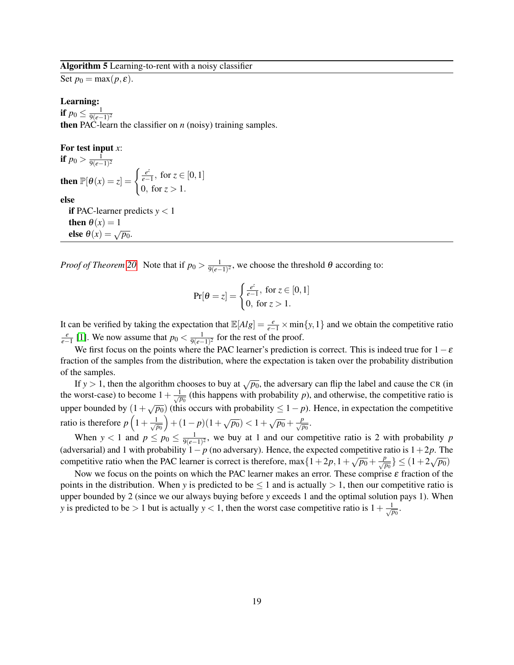#### Algorithm 5 Learning-to-rent with a noisy classifier

<span id="page-18-0"></span>Set  $p_0 = \max(p, \varepsilon)$ .

else  $\theta(x) = \sqrt{p_0}$ .

#### Learning:

if  $p_0 \leq \frac{1}{9(e-1)}$ 9(*e*−1) 2 then PAC-learn the classifier on  $n$  (noisy) training samples.

For test input *x*:  
\nif 
$$
p_0 > \frac{1}{9(e-1)^2}
$$
  
\nthen  $\mathbb{P}[\theta(x) = z] = \begin{cases} \frac{e^z}{e-1}, & \text{for } z \in [0, 1] \\ 0, & \text{for } z > 1. \end{cases}$   
\nelse  
\nif PAC-learner predicts  $y < 1$   
\nthen  $\theta(x) = 1$ 

*Proof of Theorem [20.](#page-17-0)* Note that if  $p_0 > \frac{1}{9(e-1)}$ 9(*e*−1) 2 , we choose the threshold θ according to:

$$
\Pr[\theta = z] = \begin{cases} \frac{e^z}{e-1}, & \text{for } z \in [0,1] \\ 0, & \text{for } z > 1. \end{cases}
$$

It can be verified by taking the expectation that  $\mathbb{E}[Alg] = \frac{e}{e-1} \times \min\{y, 1\}$  and we obtain the competitive ratio  $\frac{e}{e-1}$  [\[1\]](#page-23-0). We now assume that *p*<sup>0</sup> <  $\frac{1}{9(e−1)}$  $\frac{1}{9(e-1)^2}$  for the rest of the proof.

We first focus on the points where the PAC learner's prediction is correct. This is indeed true for  $1-\varepsilon$ fraction of the samples from the distribution, where the expectation is taken over the probability distribution of the samples.

If *y* > 1, then the algorithm chooses to buy at  $\sqrt{p_0}$ , the adversary can flip the label and cause the CR (in the worst-case) to become  $1+\frac{1}{\sqrt{p_0}}$  (this happens with probability *p*), and otherwise, the competitive ratio is upper bounded by  $(1 + \sqrt{p_0})$  (this occurs with probability  $\leq 1 - p$ ). Hence, in expectation the competitive ratio is therefore  $p\left(1+\frac{1}{\sqrt{p_0}}\right)$  $\left(1-p\right)\left(1+\sqrt{p_0}\right) < 1+\sqrt{p_0}+\frac{p}{\sqrt{p_0}}.$ 

When  $y < 1$  and  $p \leq p_0 \leq \frac{1}{9(e-1)}$  $\frac{1}{9(e-1)^2}$ , we buy at 1 and our competitive ratio is 2 with probability *p* (adversarial) and 1 with probability  $1-p$  (no adversary). Hence, the expected competitive ratio is  $1+2p$ . The competitive ratio when the PAC learner is correct is therefore, max $\{1+2p, 1+\sqrt{p_0}+\frac{p}{\sqrt{p_0}}\} \leq (1+2\sqrt{p_0})$ 

Now we focus on the points on which the PAC learner makes an error. These comprise  $\varepsilon$  fraction of the points in the distribution. When *y* is predicted to be  $\leq 1$  and is actually  $> 1$ , then our competitive ratio is upper bounded by 2 (since we our always buying before *y* exceeds 1 and the optimal solution pays 1). When *y* is predicted to be > 1 but is actually *y* < 1, then the worst case competitive ratio is  $1 + \frac{1}{\sqrt{p_0}}$ .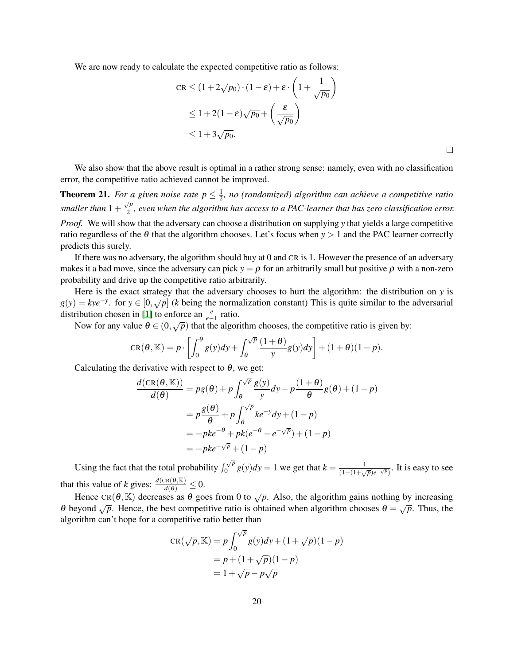We are now ready to calculate the expected competitive ratio as follows:

$$
CR \le (1 + 2\sqrt{p_0}) \cdot (1 - \varepsilon) + \varepsilon \cdot \left(1 + \frac{1}{\sqrt{p_0}}\right)
$$
  
\n
$$
\le 1 + 2(1 - \varepsilon)\sqrt{p_0} + \left(\frac{\varepsilon}{\sqrt{p_0}}\right)
$$
  
\n
$$
\le 1 + 3\sqrt{p_0}.
$$

We also show that the above result is optimal in a rather strong sense: namely, even with no classification error, the competitive ratio achieved cannot be improved.

<span id="page-19-0"></span>**Theorem 21.** For a given noise rate  $p \leq \frac{1}{2}$ 2 *, no (randomized) algorithm can achieve a competitive ratio smaller than*  $1 + \frac{\sqrt{p}}{2}$  $\frac{2}{2}$ , even when the algorithm has access to a PAC-learner that has zero classification error.

*Proof.* We will show that the adversary can choose a distribution on supplying *y* that yields a large competitive ratio regardless of the  $\theta$  that the algorithm chooses. Let's focus when  $y > 1$  and the PAC learner correctly predicts this surely.

If there was no adversary, the algorithm should buy at 0 and CR is 1. However the presence of an adversary makes it a bad move, since the adversary can pick  $y = \rho$  for an arbitrarily small but positive  $\rho$  with a non-zero probability and drive up the competitive ratio arbitrarily.

Here is the exact strategy that the adversary chooses to hurt the algorithm: the distribution on *y* is  $g(y) = kye^{-y}$ . for  $y \in [0, \sqrt{p}]$  (*k* being the normalization constant) This is quite similar to the adversarial distribution chosen in [\[1\]](#page-23-0) to enforce an  $\frac{e}{e-1}$  ratio.

Now for any value  $\theta \in (0, \sqrt{p})$  that the algorithm chooses, the competitive ratio is given by:

$$
CR(\theta, \mathbb{K}) = p \cdot \left[ \int_0^{\theta} g(y) dy + \int_{\theta}^{\sqrt{p}} \frac{(1+\theta)}{y} g(y) dy \right] + (1+\theta)(1-p).
$$

Calculating the derivative with respect to  $\theta$ , we get:

$$
\frac{d(\text{CR}(\theta, \mathbb{K}))}{d(\theta)} = pg(\theta) + p \int_{\theta}^{\sqrt{p}} \frac{g(y)}{y} dy - p \frac{(1+\theta)}{\theta} g(\theta) + (1-p)
$$

$$
= p \frac{g(\theta)}{\theta} + p \int_{\theta}^{\sqrt{p}} k e^{-y} dy + (1-p)
$$

$$
= -p k e^{-\theta} + p k (e^{-\theta} - e^{-\sqrt{p}}) + (1-p)
$$

$$
= -p k e^{-\sqrt{p}} + (1-p)
$$

Using the fact that the total probability  $\int_0^{\sqrt{p}} g(y) dy = 1$  we get that  $k = \frac{1}{(1-(1+\sqrt{p})^2)^{1/2}}$  $\frac{1}{(1-(1+\sqrt{p})e^{-\sqrt{p}})}$ . It is easy to see that this value of *k* gives:  $\frac{d(\text{CR}(\theta, \mathbb{K})}{d(\theta)} \leq 0$ .

Hence CR( $\theta$ , K) decreases as  $\theta$  goes from 0 to  $\sqrt{p}$ . Also, the algorithm gains nothing by increasing θ beyond  $\sqrt{p}$ . Hence, the best competitive ratio is obtained when algorithm chooses θ =  $\sqrt{p}$ . Thus, the algorithm can't hope for a competitive ratio better than

$$
CR(\sqrt{p}, \mathbb{K}) = p \int_0^{\sqrt{p}} g(y) dy + (1 + \sqrt{p})(1 - p)
$$
  
=  $p + (1 + \sqrt{p})(1 - p)$   
=  $1 + \sqrt{p} - p\sqrt{p}$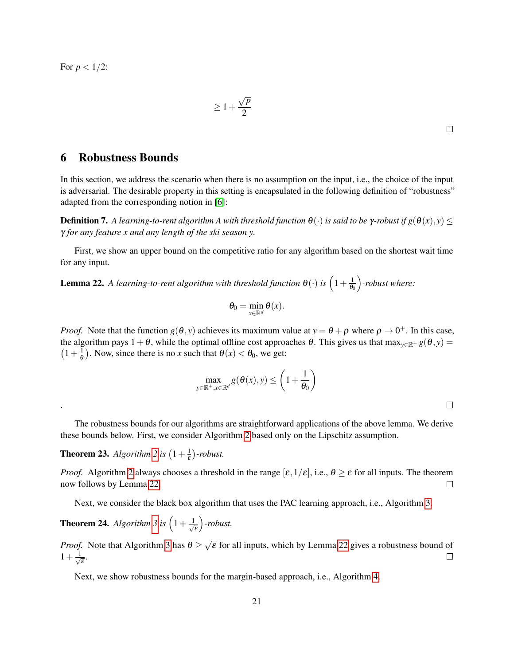For  $p < 1/2$ :

.

$$
\geq 1 + \frac{\sqrt{p}}{2}
$$

 $\Box$ 

### 6 Robustness Bounds

In this section, we address the scenario when there is no assumption on the input, i.e., the choice of the input is adversarial. The desirable property in this setting is encapsulated in the following definition of "robustness" adapted from the corresponding notion in [\[6\]](#page-24-3):

**Definition 7.** A learning-to-rent algorithm A with threshold function  $\theta(\cdot)$  is said to be γ-robust if  $g(\theta(x), y) \le$ γ *for any feature x and any length of the ski season y.*

First, we show an upper bound on the competitive ratio for any algorithm based on the shortest wait time for any input.

<span id="page-20-0"></span>**Lemma 22.** A learning-to-rent algorithm with threshold function  $\theta(\cdot)$  is  $\left(1+\frac{1}{\theta}\right)$  $\theta_0$ *-robust where:*

$$
\theta_0 = \min_{x \in \mathbb{R}^d} \theta(x).
$$

*Proof.* Note that the function  $g(\theta, y)$  achieves its maximum value at  $y = \theta + \rho$  where  $\rho \to 0^+$ . In this case, the algorithm pays  $1+\theta$ , while the optimal offline cost approaches  $\theta$ . This gives us that max<sub>y∈R+</sub>  $g(\theta, y)$  =  $(1 + \frac{1}{\theta})$  $\frac{1}{\theta}$ ). Now, since there is no *x* such that  $\theta(x) < \theta_0$ , we get:

$$
\max_{y \in \mathbb{R}^+, x \in \mathbb{R}^d} g(\theta(x), y) \le \left(1 + \frac{1}{\theta_0}\right)
$$

 $\Box$ 

The robustness bounds for our algorithms are straightforward applications of the above lemma. We derive these bounds below. First, we consider Algorithm [2](#page-5-5) based only on the Lipschitz assumption.

**Theorem [2](#page-5-5)3.** *Algorithm* 2 *is*  $\left(1+\frac{1}{5}\right)$  $(\frac{1}{\varepsilon})$ -robust.

*Proof.* Algorithm [2](#page-5-5) always chooses a threshold in the range  $[\varepsilon, 1/\varepsilon]$ , i.e.,  $\theta \ge \varepsilon$  for all inputs. The theorem now follows by Lemma [22.](#page-20-0)  $\Box$ 

Next, we consider the black box algorithm that uses the PAC learning approach, i.e., Algorithm [3.](#page-13-0)

**Theorem 24.** *Algorithm* [3](#page-13-0) *is*  $\left(1+\frac{1}{\sqrt{2}}\right)$ ε *-robust.*

√ *Proof.* Note that Algorithm [3](#page-13-0) has  $\theta \geq$  $\overline{\epsilon}$  for all inputs, which by Lemma [22](#page-20-0) gives a robustness bound of  $1 + \frac{1}{7}$ ε .  $\Box$ 

Next, we show robustness bounds for the margin-based approach, i.e., Algorithm [4.](#page-16-0)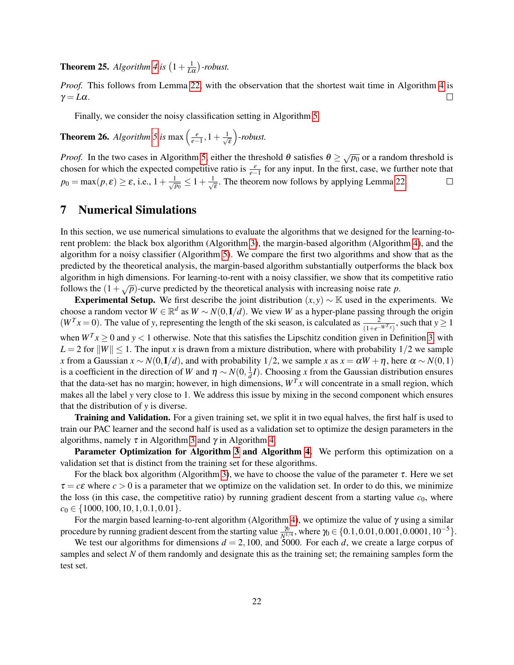**Theorem 25.** *Algorithm* [4](#page-16-0) *is*  $\left(1+\frac{1}{L\alpha}\right)$ -robust.

*Proof.* This follows from Lemma [22,](#page-20-0) with the observation that the shortest wait time in Algorithm [4](#page-16-0) is  $\gamma = L\alpha$ .  $\Box$ 

Finally, we consider the noisy classification setting in Algorithm [5.](#page-18-0)

**Theorem 26.** *Algorithm* [5](#page-18-0) *is* max  $\left(\frac{e}{e-1}, 1+\frac{1}{\sqrt{e}}\right)$ ε *-robust.*

*Proof.* In the two cases in Algorithm [5,](#page-18-0) either the threshold  $\theta$  satisfies  $\theta \geq \sqrt{p_0}$  or a random threshold is chosen for which the expected competitive ratio is  $\frac{e}{e-1}$  for any input. In the first, case, we further note that  $p_0 = \max(p, \varepsilon) \ge \varepsilon$ , i.e.,  $1 + \frac{1}{\sqrt{p_0}} \le 1 + \frac{1}{\sqrt{p_0}}$  $\overline{\overline{\epsilon}}$ . The theorem now follows by applying Lemma [22.](#page-20-0)  $\Box$ 

## 7 Numerical Simulations

In this section, we use numerical simulations to evaluate the algorithms that we designed for the learning-torent problem: the black box algorithm (Algorithm [3\)](#page-13-0), the margin-based algorithm (Algorithm [4\)](#page-16-0), and the algorithm for a noisy classifier (Algorithm [5\)](#page-18-0). We compare the first two algorithms and show that as the predicted by the theoretical analysis, the margin-based algorithm substantially outperforms the black box algorithm in high dimensions. For learning-to-rent with a noisy classifier, we show that its competitive ratio follows the  $(1 + \sqrt{p})$ -curve predicted by the theoretical analysis with increasing noise rate *p*.

Experimental Setup. We first describe the joint distribution  $(x, y) \sim \mathbb{K}$  used in the experiments. We choose a random vector  $W \in \mathbb{R}^d$  as  $W \sim N(0, 1/d)$ . We view *W* as a hyper-plane passing through the origin  $(W^T x = 0)$ . The value of *y*, representing the length of the ski season, is calculated as  $\frac{2}{(1+e^{-W^T x})}$ , such that  $y \ge 1$ when  $W^{T} x \ge 0$  and  $y < 1$  otherwise. Note that this satisfies the Lipschitz condition given in Definition [3,](#page-4-3) with  $L = 2$  for  $||W|| \le 1$ . The input *x* is drawn from a mixture distribution, where with probability 1/2 we sample *x* from a Gaussian  $x \sim N(0, I/d)$ , and with probability 1/2, we sample *x* as  $x = \alpha W + \eta$ , here  $\alpha \sim N(0, 1)$ is a coefficient in the direction of *W* and  $\eta \sim N(0, \frac{1}{d}I)$ . Choosing *x* from the Gaussian distribution ensures that the data-set has no margin; however, in high dimensions,  $W<sup>T</sup>x$  will concentrate in a small region, which makes all the label *y* very close to 1. We address this issue by mixing in the second component which ensures

that the distribution of *y* is diverse.

Training and Validation. For a given training set, we split it in two equal halves, the first half is used to train our PAC learner and the second half is used as a validation set to optimize the design parameters in the algorithms, namely  $\tau$  in Algorithm [3](#page-13-0) and  $\gamma$  in Algorithm [4.](#page-16-0)

Parameter Optimization for Algorithm [3](#page-13-0) and Algorithm [4.](#page-16-0) We perform this optimization on a validation set that is distinct from the training set for these algorithms.

For the black box algorithm (Algorithm [3\)](#page-13-0), we have to choose the value of the parameter  $\tau$ . Here we set  $\tau = c\epsilon$  where  $c > 0$  is a parameter that we optimize on the validation set. In order to do this, we minimize the loss (in this case, the competitive ratio) by running gradient descent from a starting value  $c_0$ , where  $c_0 \in \{1000, 100, 10, 1, 0.1, 0.01\}.$ 

For the margin based learning-to-rent algorithm (Algorithm [4\)](#page-16-0), we optimize the value of  $\gamma$  using a similar procedure by running gradient descent from the starting value  $\frac{\gamma_0}{N^{1/4}}$ , where  $\gamma_0 \in \{0.1, 0.01, 0.001, 0.0001, 10^{-5}\}.$ 

We test our algorithms for dimensions  $d = 2,100$ , and 5000. For each *d*, we create a large corpus of samples and select *N* of them randomly and designate this as the training set; the remaining samples form the test set.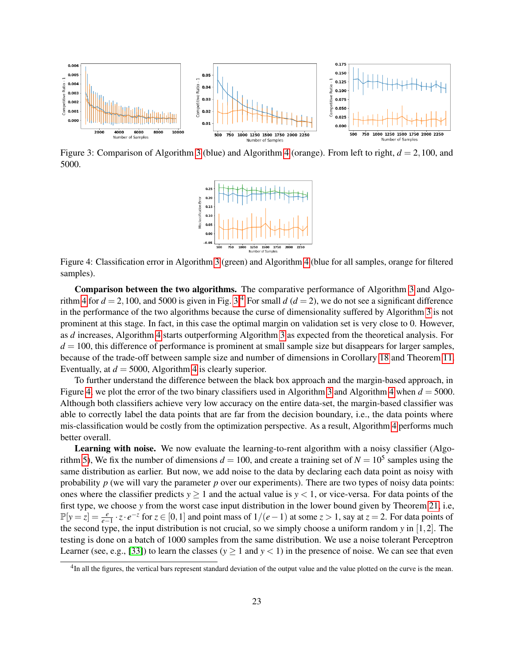

<span id="page-22-0"></span>Figure 3: Comparison of Algorithm [3](#page-13-0) (blue) and Algorithm [4](#page-16-0) (orange). From left to right, *d* = 2,100, and 5000.

<span id="page-22-2"></span>

Figure 4: Classification error in Algorithm [3](#page-13-0) (green) and Algorithm [4](#page-16-0) (blue for all samples, orange for filtered samples).

Comparison between the two algorithms. The comparative performance of Algorithm [3](#page-13-0) and Algo-rithm [4](#page-16-0) for  $d = 2,100$ , and 5000 is given in Fig. [3.](#page-22-0)<sup>[4](#page-22-1)</sup> For small  $d (d = 2)$ , we do not see a significant difference in the performance of the two algorithms because the curse of dimensionality suffered by Algorithm [3](#page-13-0) is not prominent at this stage. In fact, in this case the optimal margin on validation set is very close to 0. However, as *d* increases, Algorithm [4](#page-16-0) starts outperforming Algorithm [3](#page-13-0) as expected from the theoretical analysis. For  $d = 100$ , this difference of performance is prominent at small sample size but disappears for larger samples, because of the trade-off between sample size and number of dimensions in Corollary [18](#page-17-1) and Theorem [11.](#page-13-2) Eventually, at  $d = 5000$ , Algorithm [4](#page-16-0) is clearly superior.

To further understand the difference between the black box approach and the margin-based approach, in Figure [4,](#page-22-2) we plot the error of the two binary classifiers used in Algorithm [3](#page-13-0) and Algorithm [4](#page-16-0) when  $d = 5000$ . Although both classifiers achieve very low accuracy on the entire data-set, the margin-based classifier was able to correctly label the data points that are far from the decision boundary, i.e., the data points where mis-classification would be costly from the optimization perspective. As a result, Algorithm [4](#page-16-0) performs much better overall.

Learning with noise. We now evaluate the learning-to-rent algorithm with a noisy classifier (Algo-rithm [5\)](#page-18-0), We fix the number of dimensions  $d = 100$ , and create a training set of  $N = 10^5$  samples using the same distribution as earlier. But now, we add noise to the data by declaring each data point as noisy with probability *p* (we will vary the parameter *p* over our experiments). There are two types of noisy data points: ones where the classifier predicts  $y \ge 1$  and the actual value is  $y < 1$ , or vice-versa. For data points of the first type, we choose *y* from the worst case input distribution in the lower bound given by Theorem [21,](#page-19-0) i.e,  $\mathbb{P}[y = z] = \frac{e}{e-1} \cdot z \cdot e^{-z}$  for  $z \in [0,1]$  and point mass of  $1/(e-1)$  at some  $z > 1$ , say at  $z = 2$ . For data points of the second type, the input distribution is not crucial, so we simply choose a uniform random *y* in [1,2]. The testing is done on a batch of 1000 samples from the same distribution. We use a noise tolerant Perceptron Learner (see, e.g., [\[33\]](#page-26-1)) to learn the classes ( $y \ge 1$  and  $y < 1$ ) in the presence of noise. We can see that even

<span id="page-22-1"></span><sup>&</sup>lt;sup>4</sup>In all the figures, the vertical bars represent standard deviation of the output value and the value plotted on the curve is the mean.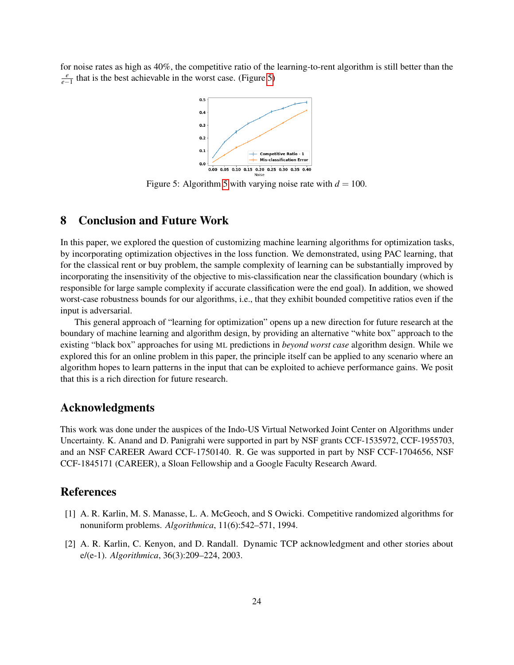for noise rates as high as 40%, the competitive ratio of the learning-to-rent algorithm is still better than the *e*<sup>*e*</sup><sub>*e*−1</sub></sub> that is the best achievable in the worst case. (Figure [5\)](#page-23-2)

<span id="page-23-2"></span>

Figure [5](#page-18-0): Algorithm 5 with varying noise rate with  $d = 100$ .

### 8 Conclusion and Future Work

In this paper, we explored the question of customizing machine learning algorithms for optimization tasks, by incorporating optimization objectives in the loss function. We demonstrated, using PAC learning, that for the classical rent or buy problem, the sample complexity of learning can be substantially improved by incorporating the insensitivity of the objective to mis-classification near the classification boundary (which is responsible for large sample complexity if accurate classification were the end goal). In addition, we showed worst-case robustness bounds for our algorithms, i.e., that they exhibit bounded competitive ratios even if the input is adversarial.

This general approach of "learning for optimization" opens up a new direction for future research at the boundary of machine learning and algorithm design, by providing an alternative "white box" approach to the existing "black box" approaches for using ML predictions in *beyond worst case* algorithm design. While we explored this for an online problem in this paper, the principle itself can be applied to any scenario where an algorithm hopes to learn patterns in the input that can be exploited to achieve performance gains. We posit that this is a rich direction for future research.

### Acknowledgments

This work was done under the auspices of the Indo-US Virtual Networked Joint Center on Algorithms under Uncertainty. K. Anand and D. Panigrahi were supported in part by NSF grants CCF-1535972, CCF-1955703, and an NSF CAREER Award CCF-1750140. R. Ge was supported in part by NSF CCF-1704656, NSF CCF-1845171 (CAREER), a Sloan Fellowship and a Google Faculty Research Award.

#### References

- <span id="page-23-0"></span>[1] A. R. Karlin, M. S. Manasse, L. A. McGeoch, and S Owicki. Competitive randomized algorithms for nonuniform problems. *Algorithmica*, 11(6):542–571, 1994.
- <span id="page-23-1"></span>[2] A. R. Karlin, C. Kenyon, and D. Randall. Dynamic TCP acknowledgment and other stories about e/(e-1). *Algorithmica*, 36(3):209–224, 2003.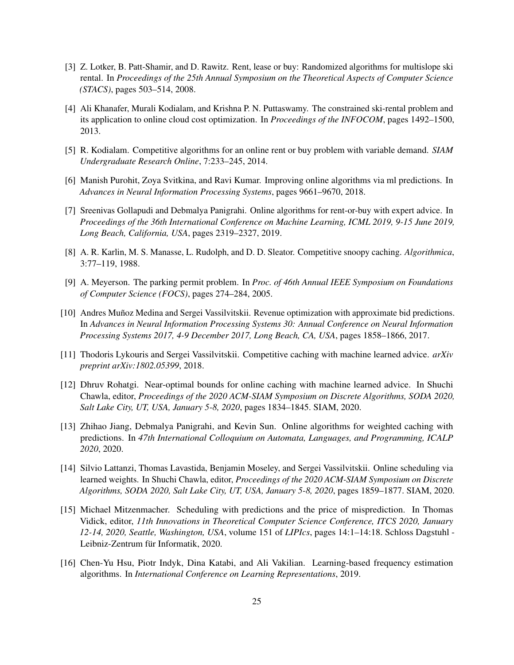- <span id="page-24-0"></span>[3] Z. Lotker, B. Patt-Shamir, and D. Rawitz. Rent, lease or buy: Randomized algorithms for multislope ski rental. In *Proceedings of the 25th Annual Symposium on the Theoretical Aspects of Computer Science (STACS)*, pages 503–514, 2008.
- <span id="page-24-1"></span>[4] Ali Khanafer, Murali Kodialam, and Krishna P. N. Puttaswamy. The constrained ski-rental problem and its application to online cloud cost optimization. In *Proceedings of the INFOCOM*, pages 1492–1500, 2013.
- <span id="page-24-2"></span>[5] R. Kodialam. Competitive algorithms for an online rent or buy problem with variable demand. *SIAM Undergraduate Research Online*, 7:233–245, 2014.
- <span id="page-24-3"></span>[6] Manish Purohit, Zoya Svitkina, and Ravi Kumar. Improving online algorithms via ml predictions. In *Advances in Neural Information Processing Systems*, pages 9661–9670, 2018.
- <span id="page-24-4"></span>[7] Sreenivas Gollapudi and Debmalya Panigrahi. Online algorithms for rent-or-buy with expert advice. In *Proceedings of the 36th International Conference on Machine Learning, ICML 2019, 9-15 June 2019, Long Beach, California, USA*, pages 2319–2327, 2019.
- <span id="page-24-5"></span>[8] A. R. Karlin, M. S. Manasse, L. Rudolph, and D. D. Sleator. Competitive snoopy caching. *Algorithmica*, 3:77–119, 1988.
- <span id="page-24-6"></span>[9] A. Meyerson. The parking permit problem. In *Proc. of 46th Annual IEEE Symposium on Foundations of Computer Science (FOCS)*, pages 274–284, 2005.
- <span id="page-24-7"></span>[10] Andres Munoz Medina and Sergei Vassilvitskii. Revenue optimization with approximate bid predictions. ˜ In *Advances in Neural Information Processing Systems 30: Annual Conference on Neural Information Processing Systems 2017, 4-9 December 2017, Long Beach, CA, USA*, pages 1858–1866, 2017.
- <span id="page-24-8"></span>[11] Thodoris Lykouris and Sergei Vassilvitskii. Competitive caching with machine learned advice. *arXiv preprint arXiv:1802.05399*, 2018.
- <span id="page-24-9"></span>[12] Dhruv Rohatgi. Near-optimal bounds for online caching with machine learned advice. In Shuchi Chawla, editor, *Proceedings of the 2020 ACM-SIAM Symposium on Discrete Algorithms, SODA 2020, Salt Lake City, UT, USA, January 5-8, 2020*, pages 1834–1845. SIAM, 2020.
- <span id="page-24-10"></span>[13] Zhihao Jiang, Debmalya Panigrahi, and Kevin Sun. Online algorithms for weighted caching with predictions. In *47th International Colloquium on Automata, Languages, and Programming, ICALP 2020*, 2020.
- <span id="page-24-11"></span>[14] Silvio Lattanzi, Thomas Lavastida, Benjamin Moseley, and Sergei Vassilvitskii. Online scheduling via learned weights. In Shuchi Chawla, editor, *Proceedings of the 2020 ACM-SIAM Symposium on Discrete Algorithms, SODA 2020, Salt Lake City, UT, USA, January 5-8, 2020*, pages 1859–1877. SIAM, 2020.
- <span id="page-24-12"></span>[15] Michael Mitzenmacher. Scheduling with predictions and the price of misprediction. In Thomas Vidick, editor, *11th Innovations in Theoretical Computer Science Conference, ITCS 2020, January 12-14, 2020, Seattle, Washington, USA*, volume 151 of *LIPIcs*, pages 14:1–14:18. Schloss Dagstuhl - Leibniz-Zentrum für Informatik, 2020.
- <span id="page-24-13"></span>[16] Chen-Yu Hsu, Piotr Indyk, Dina Katabi, and Ali Vakilian. Learning-based frequency estimation algorithms. In *International Conference on Learning Representations*, 2019.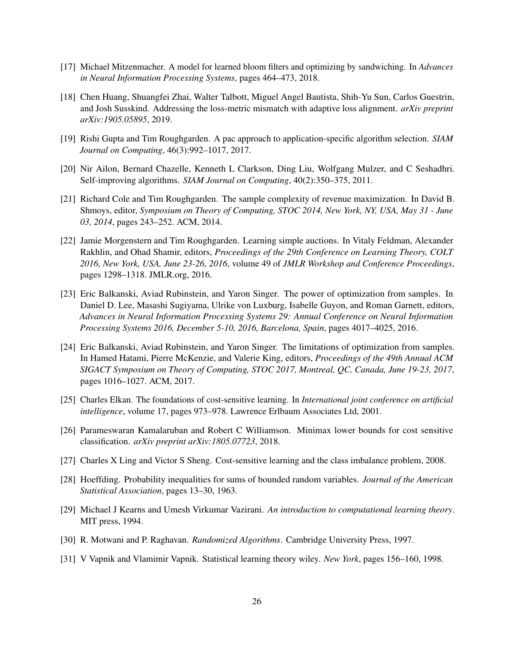- <span id="page-25-0"></span>[17] Michael Mitzenmacher. A model for learned bloom filters and optimizing by sandwiching. In *Advances in Neural Information Processing Systems*, pages 464–473, 2018.
- <span id="page-25-1"></span>[18] Chen Huang, Shuangfei Zhai, Walter Talbott, Miguel Angel Bautista, Shih-Yu Sun, Carlos Guestrin, and Josh Susskind. Addressing the loss-metric mismatch with adaptive loss alignment. *arXiv preprint arXiv:1905.05895*, 2019.
- <span id="page-25-2"></span>[19] Rishi Gupta and Tim Roughgarden. A pac approach to application-specific algorithm selection. *SIAM Journal on Computing*, 46(3):992–1017, 2017.
- <span id="page-25-3"></span>[20] Nir Ailon, Bernard Chazelle, Kenneth L Clarkson, Ding Liu, Wolfgang Mulzer, and C Seshadhri. Self-improving algorithms. *SIAM Journal on Computing*, 40(2):350–375, 2011.
- <span id="page-25-4"></span>[21] Richard Cole and Tim Roughgarden. The sample complexity of revenue maximization. In David B. Shmoys, editor, *Symposium on Theory of Computing, STOC 2014, New York, NY, USA, May 31 - June 03, 2014*, pages 243–252. ACM, 2014.
- <span id="page-25-5"></span>[22] Jamie Morgenstern and Tim Roughgarden. Learning simple auctions. In Vitaly Feldman, Alexander Rakhlin, and Ohad Shamir, editors, *Proceedings of the 29th Conference on Learning Theory, COLT 2016, New York, USA, June 23-26, 2016*, volume 49 of *JMLR Workshop and Conference Proceedings*, pages 1298–1318. JMLR.org, 2016.
- <span id="page-25-6"></span>[23] Eric Balkanski, Aviad Rubinstein, and Yaron Singer. The power of optimization from samples. In Daniel D. Lee, Masashi Sugiyama, Ulrike von Luxburg, Isabelle Guyon, and Roman Garnett, editors, *Advances in Neural Information Processing Systems 29: Annual Conference on Neural Information Processing Systems 2016, December 5-10, 2016, Barcelona, Spain*, pages 4017–4025, 2016.
- <span id="page-25-7"></span>[24] Eric Balkanski, Aviad Rubinstein, and Yaron Singer. The limitations of optimization from samples. In Hamed Hatami, Pierre McKenzie, and Valerie King, editors, *Proceedings of the 49th Annual ACM SIGACT Symposium on Theory of Computing, STOC 2017, Montreal, QC, Canada, June 19-23, 2017*, pages 1016–1027. ACM, 2017.
- <span id="page-25-8"></span>[25] Charles Elkan. The foundations of cost-sensitive learning. In *International joint conference on artificial intelligence*, volume 17, pages 973–978. Lawrence Erlbaum Associates Ltd, 2001.
- <span id="page-25-9"></span>[26] Parameswaran Kamalaruban and Robert C Williamson. Minimax lower bounds for cost sensitive classification. *arXiv preprint arXiv:1805.07723*, 2018.
- <span id="page-25-10"></span>[27] Charles X Ling and Victor S Sheng. Cost-sensitive learning and the class imbalance problem, 2008.
- <span id="page-25-11"></span>[28] Hoeffding. Probability inequalities for sums of bounded random variables. *Journal of the American Statistical Association*, pages 13–30, 1963.
- <span id="page-25-12"></span>[29] Michael J Kearns and Umesh Virkumar Vazirani. *An introduction to computational learning theory*. MIT press, 1994.
- <span id="page-25-13"></span>[30] R. Motwani and P. Raghavan. *Randomized Algorithms*. Cambridge University Press, 1997.
- <span id="page-25-14"></span>[31] V Vapnik and Vlamimir Vapnik. Statistical learning theory wiley. *New York*, pages 156–160, 1998.